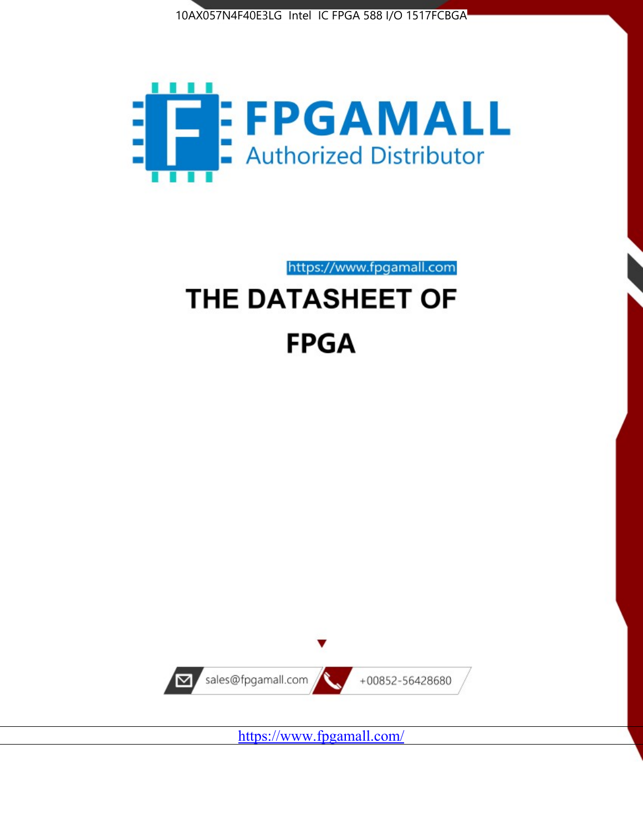



https://www.fpgamall.com

# THE DATASHEET OF **FPGA**



<https://www.fpgamall.com/>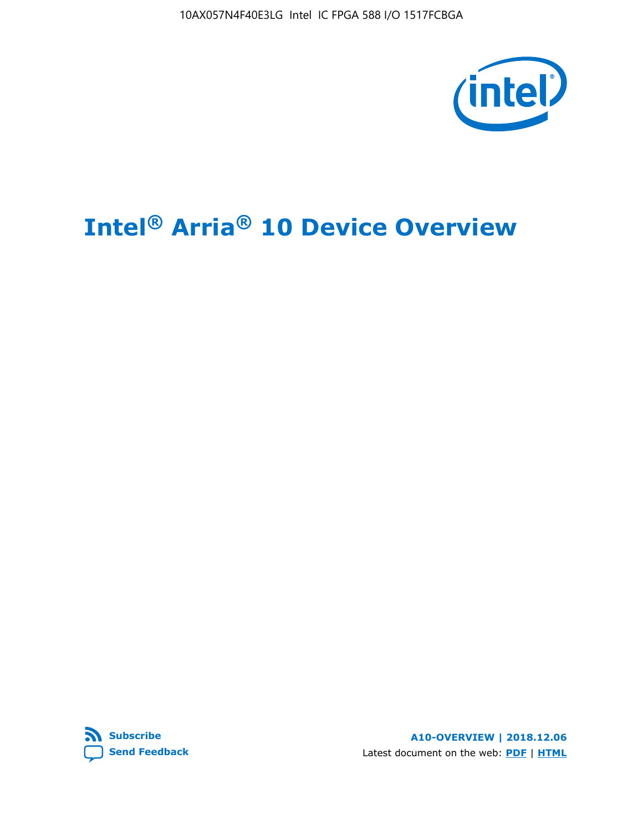10AX057N4F40E3LG Intel IC FPGA 588 I/O 1517FCBGA



# **Intel® Arria® 10 Device Overview**



**A10-OVERVIEW | 2018.12.06** Latest document on the web: **[PDF](https://www.intel.com/content/dam/www/programmable/us/en/pdfs/literature/hb/arria-10/a10_overview.pdf)** | **[HTML](https://www.intel.com/content/www/us/en/programmable/documentation/sam1403480274650.html)**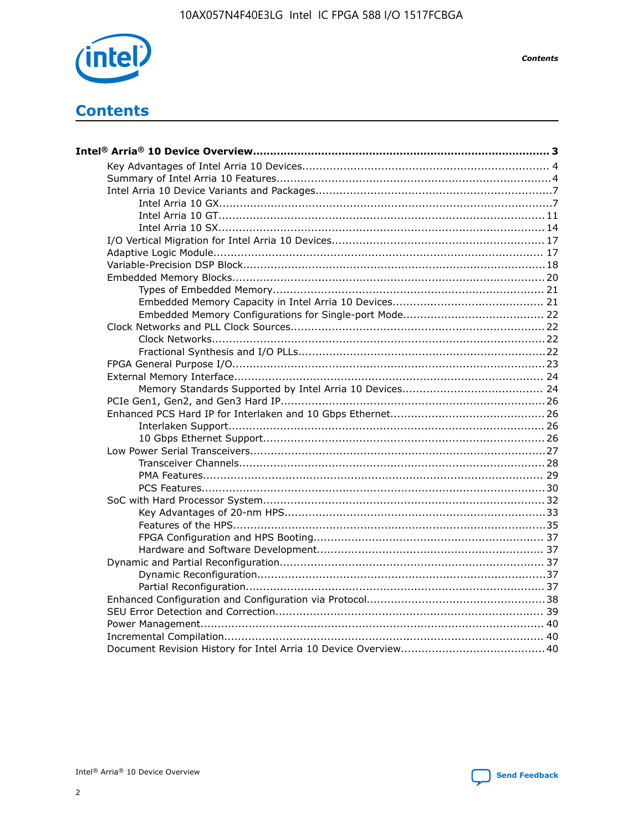

**Contents** 

# **Contents**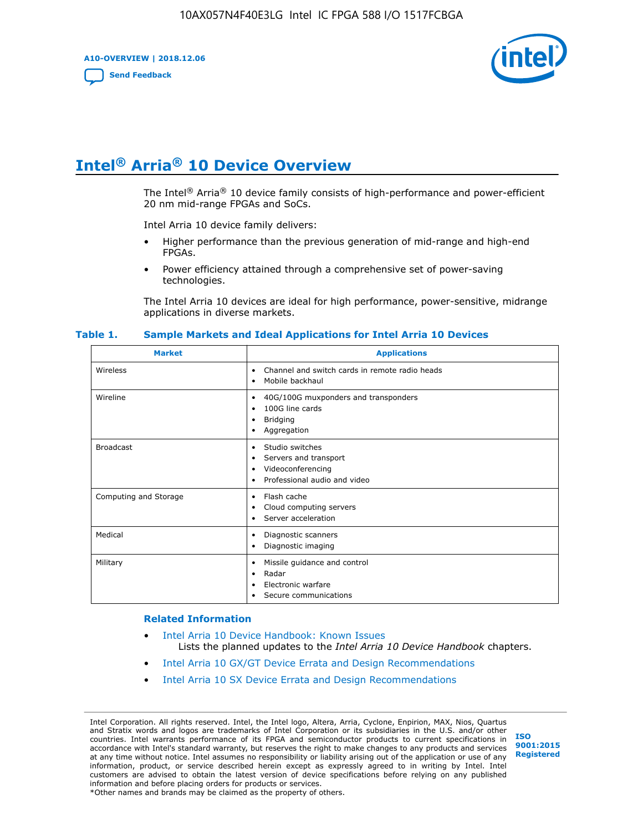**A10-OVERVIEW | 2018.12.06**

**[Send Feedback](mailto:FPGAtechdocfeedback@intel.com?subject=Feedback%20on%20Intel%20Arria%2010%20Device%20Overview%20(A10-OVERVIEW%202018.12.06)&body=We%20appreciate%20your%20feedback.%20In%20your%20comments,%20also%20specify%20the%20page%20number%20or%20paragraph.%20Thank%20you.)**



# **Intel® Arria® 10 Device Overview**

The Intel<sup>®</sup> Arria<sup>®</sup> 10 device family consists of high-performance and power-efficient 20 nm mid-range FPGAs and SoCs.

Intel Arria 10 device family delivers:

- Higher performance than the previous generation of mid-range and high-end FPGAs.
- Power efficiency attained through a comprehensive set of power-saving technologies.

The Intel Arria 10 devices are ideal for high performance, power-sensitive, midrange applications in diverse markets.

| <b>Market</b>         | <b>Applications</b>                                                                                               |
|-----------------------|-------------------------------------------------------------------------------------------------------------------|
| Wireless              | Channel and switch cards in remote radio heads<br>٠<br>Mobile backhaul<br>٠                                       |
| Wireline              | 40G/100G muxponders and transponders<br>٠<br>100G line cards<br>٠<br><b>Bridging</b><br>٠<br>Aggregation<br>٠     |
| <b>Broadcast</b>      | Studio switches<br>٠<br>Servers and transport<br>٠<br>Videoconferencing<br>٠<br>Professional audio and video<br>٠ |
| Computing and Storage | Flash cache<br>٠<br>Cloud computing servers<br>٠<br>Server acceleration<br>٠                                      |
| Medical               | Diagnostic scanners<br>٠<br>Diagnostic imaging<br>٠                                                               |
| Military              | Missile guidance and control<br>٠<br>Radar<br>٠<br>Electronic warfare<br>٠<br>Secure communications<br>٠          |

#### **Table 1. Sample Markets and Ideal Applications for Intel Arria 10 Devices**

#### **Related Information**

- [Intel Arria 10 Device Handbook: Known Issues](http://www.altera.com/support/kdb/solutions/rd07302013_646.html) Lists the planned updates to the *Intel Arria 10 Device Handbook* chapters.
- [Intel Arria 10 GX/GT Device Errata and Design Recommendations](https://www.intel.com/content/www/us/en/programmable/documentation/agz1493851706374.html#yqz1494433888646)
- [Intel Arria 10 SX Device Errata and Design Recommendations](https://www.intel.com/content/www/us/en/programmable/documentation/cru1462832385668.html#cru1462832558642)

Intel Corporation. All rights reserved. Intel, the Intel logo, Altera, Arria, Cyclone, Enpirion, MAX, Nios, Quartus and Stratix words and logos are trademarks of Intel Corporation or its subsidiaries in the U.S. and/or other countries. Intel warrants performance of its FPGA and semiconductor products to current specifications in accordance with Intel's standard warranty, but reserves the right to make changes to any products and services at any time without notice. Intel assumes no responsibility or liability arising out of the application or use of any information, product, or service described herein except as expressly agreed to in writing by Intel. Intel customers are advised to obtain the latest version of device specifications before relying on any published information and before placing orders for products or services. \*Other names and brands may be claimed as the property of others.

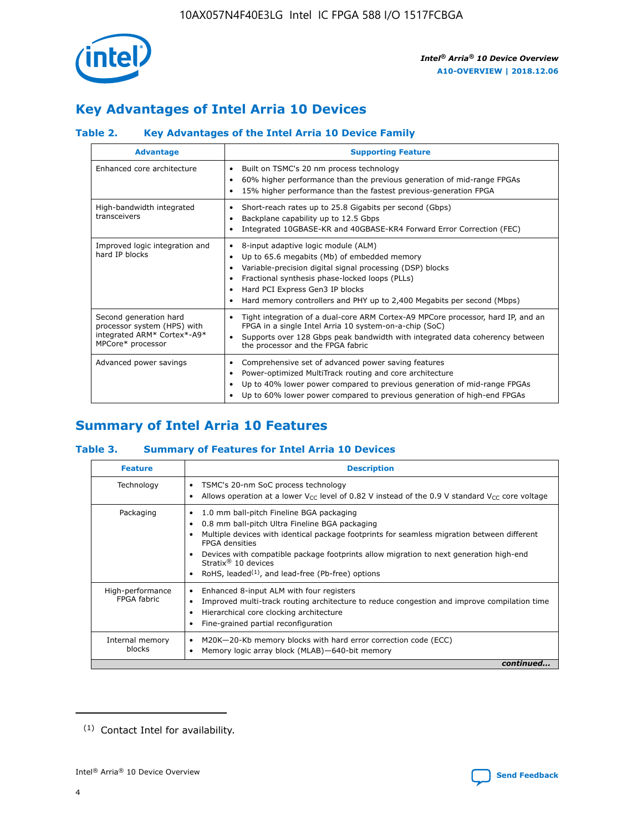

# **Key Advantages of Intel Arria 10 Devices**

## **Table 2. Key Advantages of the Intel Arria 10 Device Family**

| <b>Advantage</b>                                                                                          | <b>Supporting Feature</b>                                                                                                                                                                                                                                                                                                |
|-----------------------------------------------------------------------------------------------------------|--------------------------------------------------------------------------------------------------------------------------------------------------------------------------------------------------------------------------------------------------------------------------------------------------------------------------|
| Enhanced core architecture                                                                                | Built on TSMC's 20 nm process technology<br>٠<br>60% higher performance than the previous generation of mid-range FPGAs<br>٠<br>15% higher performance than the fastest previous-generation FPGA<br>٠                                                                                                                    |
| High-bandwidth integrated<br>transceivers                                                                 | Short-reach rates up to 25.8 Gigabits per second (Gbps)<br>٠<br>Backplane capability up to 12.5 Gbps<br>٠<br>Integrated 10GBASE-KR and 40GBASE-KR4 Forward Error Correction (FEC)<br>٠                                                                                                                                   |
| Improved logic integration and<br>hard IP blocks                                                          | 8-input adaptive logic module (ALM)<br>٠<br>Up to 65.6 megabits (Mb) of embedded memory<br>٠<br>Variable-precision digital signal processing (DSP) blocks<br>Fractional synthesis phase-locked loops (PLLs)<br>Hard PCI Express Gen3 IP blocks<br>Hard memory controllers and PHY up to 2,400 Megabits per second (Mbps) |
| Second generation hard<br>processor system (HPS) with<br>integrated ARM* Cortex*-A9*<br>MPCore* processor | Tight integration of a dual-core ARM Cortex-A9 MPCore processor, hard IP, and an<br>٠<br>FPGA in a single Intel Arria 10 system-on-a-chip (SoC)<br>Supports over 128 Gbps peak bandwidth with integrated data coherency between<br>$\bullet$<br>the processor and the FPGA fabric                                        |
| Advanced power savings                                                                                    | Comprehensive set of advanced power saving features<br>٠<br>Power-optimized MultiTrack routing and core architecture<br>٠<br>Up to 40% lower power compared to previous generation of mid-range FPGAs<br>Up to 60% lower power compared to previous generation of high-end FPGAs                                         |

# **Summary of Intel Arria 10 Features**

## **Table 3. Summary of Features for Intel Arria 10 Devices**

| <b>Feature</b>                  | <b>Description</b>                                                                                                                                                                                                                                                                                                                                                                                           |
|---------------------------------|--------------------------------------------------------------------------------------------------------------------------------------------------------------------------------------------------------------------------------------------------------------------------------------------------------------------------------------------------------------------------------------------------------------|
| Technology                      | TSMC's 20-nm SoC process technology<br>Allows operation at a lower $V_{\text{CC}}$ level of 0.82 V instead of the 0.9 V standard $V_{\text{CC}}$ core voltage                                                                                                                                                                                                                                                |
| Packaging                       | 1.0 mm ball-pitch Fineline BGA packaging<br>٠<br>0.8 mm ball-pitch Ultra Fineline BGA packaging<br>Multiple devices with identical package footprints for seamless migration between different<br><b>FPGA</b> densities<br>Devices with compatible package footprints allow migration to next generation high-end<br>Stratix <sup>®</sup> 10 devices<br>RoHS, leaded $(1)$ , and lead-free (Pb-free) options |
| High-performance<br>FPGA fabric | Enhanced 8-input ALM with four registers<br>Improved multi-track routing architecture to reduce congestion and improve compilation time<br>Hierarchical core clocking architecture<br>Fine-grained partial reconfiguration                                                                                                                                                                                   |
| Internal memory<br>blocks       | M20K-20-Kb memory blocks with hard error correction code (ECC)<br>Memory logic array block (MLAB)-640-bit memory                                                                                                                                                                                                                                                                                             |
|                                 | continued                                                                                                                                                                                                                                                                                                                                                                                                    |



<sup>(1)</sup> Contact Intel for availability.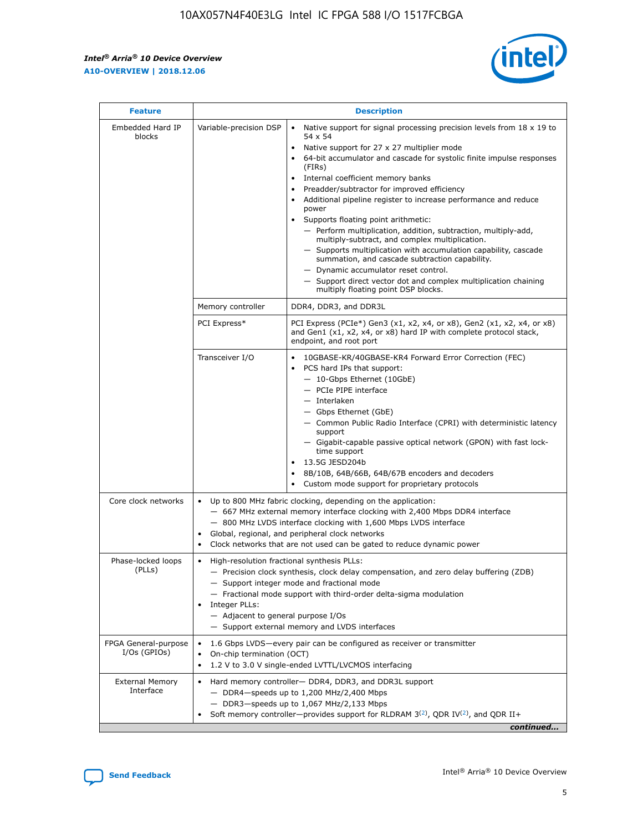$\mathsf{r}$ 



| <b>Feature</b>                         |                                                                                                                | <b>Description</b>                                                                                                                                                                                                                                                                                                                                                                                                                                                                                                                                                                                                                                                                                                                                                                                                                          |
|----------------------------------------|----------------------------------------------------------------------------------------------------------------|---------------------------------------------------------------------------------------------------------------------------------------------------------------------------------------------------------------------------------------------------------------------------------------------------------------------------------------------------------------------------------------------------------------------------------------------------------------------------------------------------------------------------------------------------------------------------------------------------------------------------------------------------------------------------------------------------------------------------------------------------------------------------------------------------------------------------------------------|
| Embedded Hard IP<br>blocks             | Variable-precision DSP                                                                                         | Native support for signal processing precision levels from $18 \times 19$ to<br>$\bullet$<br>54 x 54<br>Native support for 27 x 27 multiplier mode<br>64-bit accumulator and cascade for systolic finite impulse responses<br>(FIRs)<br>Internal coefficient memory banks<br>٠<br>Preadder/subtractor for improved efficiency<br>Additional pipeline register to increase performance and reduce<br>power<br>Supports floating point arithmetic:<br>- Perform multiplication, addition, subtraction, multiply-add,<br>multiply-subtract, and complex multiplication.<br>- Supports multiplication with accumulation capability, cascade<br>summation, and cascade subtraction capability.<br>- Dynamic accumulator reset control.<br>- Support direct vector dot and complex multiplication chaining<br>multiply floating point DSP blocks. |
|                                        | Memory controller                                                                                              | DDR4, DDR3, and DDR3L                                                                                                                                                                                                                                                                                                                                                                                                                                                                                                                                                                                                                                                                                                                                                                                                                       |
|                                        | PCI Express*                                                                                                   | PCI Express (PCIe*) Gen3 (x1, x2, x4, or x8), Gen2 (x1, x2, x4, or x8)<br>and Gen1 (x1, x2, x4, or x8) hard IP with complete protocol stack,<br>endpoint, and root port                                                                                                                                                                                                                                                                                                                                                                                                                                                                                                                                                                                                                                                                     |
|                                        | Transceiver I/O                                                                                                | 10GBASE-KR/40GBASE-KR4 Forward Error Correction (FEC)<br>PCS hard IPs that support:<br>- 10-Gbps Ethernet (10GbE)<br>- PCIe PIPE interface<br>- Interlaken<br>- Gbps Ethernet (GbE)<br>- Common Public Radio Interface (CPRI) with deterministic latency<br>support<br>- Gigabit-capable passive optical network (GPON) with fast lock-<br>time support<br>13.5G JESD204b<br>$\bullet$<br>8B/10B, 64B/66B, 64B/67B encoders and decoders<br>Custom mode support for proprietary protocols                                                                                                                                                                                                                                                                                                                                                   |
| Core clock networks                    | $\bullet$<br>$\bullet$                                                                                         | Up to 800 MHz fabric clocking, depending on the application:<br>- 667 MHz external memory interface clocking with 2,400 Mbps DDR4 interface<br>- 800 MHz LVDS interface clocking with 1,600 Mbps LVDS interface<br>Global, regional, and peripheral clock networks<br>Clock networks that are not used can be gated to reduce dynamic power                                                                                                                                                                                                                                                                                                                                                                                                                                                                                                 |
| Phase-locked loops<br>(PLLs)           | High-resolution fractional synthesis PLLs:<br>$\bullet$<br>Integer PLLs:<br>- Adjacent to general purpose I/Os | - Precision clock synthesis, clock delay compensation, and zero delay buffering (ZDB)<br>- Support integer mode and fractional mode<br>- Fractional mode support with third-order delta-sigma modulation<br>- Support external memory and LVDS interfaces                                                                                                                                                                                                                                                                                                                                                                                                                                                                                                                                                                                   |
| FPGA General-purpose<br>$I/Os$ (GPIOs) | On-chip termination (OCT)<br>$\bullet$                                                                         | 1.6 Gbps LVDS-every pair can be configured as receiver or transmitter<br>1.2 V to 3.0 V single-ended LVTTL/LVCMOS interfacing                                                                                                                                                                                                                                                                                                                                                                                                                                                                                                                                                                                                                                                                                                               |
| <b>External Memory</b><br>Interface    |                                                                                                                | Hard memory controller- DDR4, DDR3, and DDR3L support<br>$-$ DDR4 $-$ speeds up to 1,200 MHz/2,400 Mbps<br>- DDR3-speeds up to 1,067 MHz/2,133 Mbps<br>Soft memory controller—provides support for RLDRAM $3^{(2)}$ , QDR IV $(2^2)$ , and QDR II+<br>continued                                                                                                                                                                                                                                                                                                                                                                                                                                                                                                                                                                             |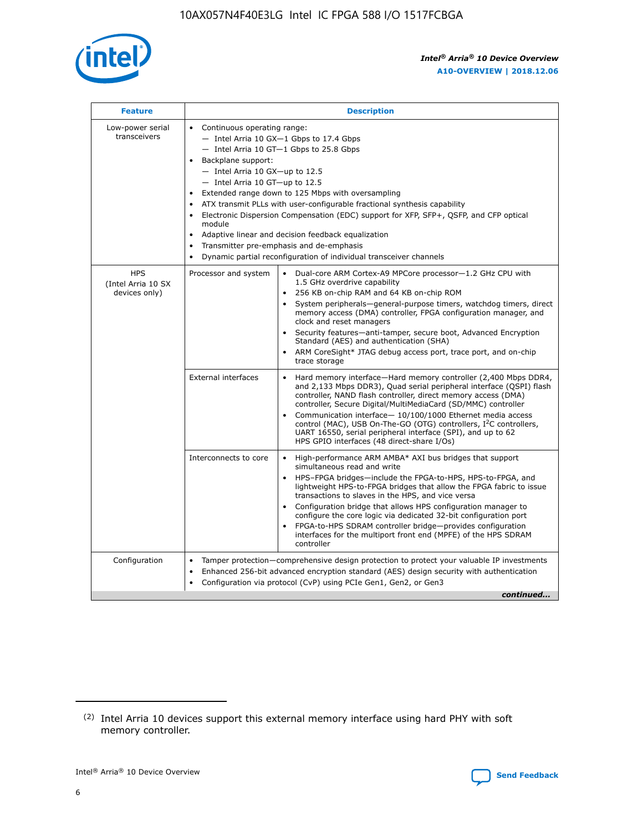

| <b>Feature</b>                                    | <b>Description</b>                                                                                                                                                                                                                                                                                                                                                                                                                                                                                                                                                                                                                                                        |  |  |  |  |  |  |
|---------------------------------------------------|---------------------------------------------------------------------------------------------------------------------------------------------------------------------------------------------------------------------------------------------------------------------------------------------------------------------------------------------------------------------------------------------------------------------------------------------------------------------------------------------------------------------------------------------------------------------------------------------------------------------------------------------------------------------------|--|--|--|--|--|--|
| Low-power serial<br>transceivers                  | • Continuous operating range:<br>- Intel Arria 10 GX-1 Gbps to 17.4 Gbps<br>$-$ Intel Arria 10 GT $-1$ Gbps to 25.8 Gbps<br>Backplane support:<br>$\bullet$<br>$-$ Intel Arria 10 GX-up to 12.5<br>$-$ Intel Arria 10 GT-up to 12.5<br>Extended range down to 125 Mbps with oversampling<br>ATX transmit PLLs with user-configurable fractional synthesis capability<br>Electronic Dispersion Compensation (EDC) support for XFP, SFP+, OSFP, and CFP optical<br>module<br>Adaptive linear and decision feedback equalization<br>$\bullet$<br>Transmitter pre-emphasis and de-emphasis<br>$\bullet$<br>Dynamic partial reconfiguration of individual transceiver channels |  |  |  |  |  |  |
| <b>HPS</b><br>(Intel Arria 10 SX<br>devices only) | Dual-core ARM Cortex-A9 MPCore processor-1.2 GHz CPU with<br>Processor and system<br>$\bullet$<br>1.5 GHz overdrive capability<br>256 KB on-chip RAM and 64 KB on-chip ROM<br>System peripherals-general-purpose timers, watchdog timers, direct<br>memory access (DMA) controller, FPGA configuration manager, and<br>clock and reset managers<br>• Security features—anti-tamper, secure boot, Advanced Encryption<br>Standard (AES) and authentication (SHA)<br>ARM CoreSight* JTAG debug access port, trace port, and on-chip<br>$\bullet$<br>trace storage                                                                                                           |  |  |  |  |  |  |
|                                                   | <b>External interfaces</b><br>Hard memory interface—Hard memory controller (2,400 Mbps DDR4,<br>and 2,133 Mbps DDR3), Quad serial peripheral interface (QSPI) flash<br>controller, NAND flash controller, direct memory access (DMA)<br>controller, Secure Digital/MultiMediaCard (SD/MMC) controller<br>Communication interface-10/100/1000 Ethernet media access<br>$\bullet$<br>control (MAC), USB On-The-GO (OTG) controllers, I <sup>2</sup> C controllers,<br>UART 16550, serial peripheral interface (SPI), and up to 62<br>HPS GPIO interfaces (48 direct-share I/Os)                                                                                             |  |  |  |  |  |  |
|                                                   | Interconnects to core<br>• High-performance ARM AMBA* AXI bus bridges that support<br>simultaneous read and write<br>HPS-FPGA bridges-include the FPGA-to-HPS, HPS-to-FPGA, and<br>$\bullet$<br>lightweight HPS-to-FPGA bridges that allow the FPGA fabric to issue<br>transactions to slaves in the HPS, and vice versa<br>Configuration bridge that allows HPS configuration manager to<br>configure the core logic via dedicated 32-bit configuration port<br>FPGA-to-HPS SDRAM controller bridge-provides configuration<br>interfaces for the multiport front end (MPFE) of the HPS SDRAM<br>controller                                                               |  |  |  |  |  |  |
| Configuration                                     | Tamper protection—comprehensive design protection to protect your valuable IP investments<br>Enhanced 256-bit advanced encryption standard (AES) design security with authentication<br>$\bullet$<br>Configuration via protocol (CvP) using PCIe Gen1, Gen2, or Gen3<br>continued                                                                                                                                                                                                                                                                                                                                                                                         |  |  |  |  |  |  |

<sup>(2)</sup> Intel Arria 10 devices support this external memory interface using hard PHY with soft memory controller.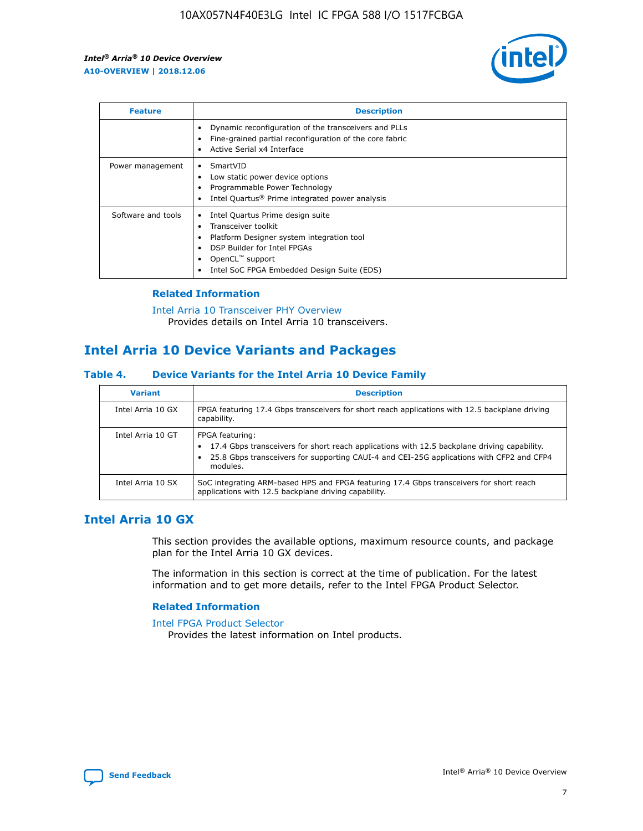

| <b>Feature</b>     | <b>Description</b>                                                                                                                                                                                                            |
|--------------------|-------------------------------------------------------------------------------------------------------------------------------------------------------------------------------------------------------------------------------|
|                    | Dynamic reconfiguration of the transceivers and PLLs<br>Fine-grained partial reconfiguration of the core fabric<br>Active Serial x4 Interface<br>$\bullet$                                                                    |
| Power management   | SmartVID<br>Low static power device options<br>Programmable Power Technology<br>Intel Quartus <sup>®</sup> Prime integrated power analysis                                                                                    |
| Software and tools | Intel Quartus Prime design suite<br>Transceiver toolkit<br>$\bullet$<br>Platform Designer system integration tool<br>DSP Builder for Intel FPGAs<br>OpenCL <sup>™</sup> support<br>Intel SoC FPGA Embedded Design Suite (EDS) |

## **Related Information**

[Intel Arria 10 Transceiver PHY Overview](https://www.intel.com/content/www/us/en/programmable/documentation/nik1398707230472.html#nik1398706768037) Provides details on Intel Arria 10 transceivers.

## **Intel Arria 10 Device Variants and Packages**

#### **Table 4. Device Variants for the Intel Arria 10 Device Family**

| <b>Variant</b>    | <b>Description</b>                                                                                                                                                                                                     |
|-------------------|------------------------------------------------------------------------------------------------------------------------------------------------------------------------------------------------------------------------|
| Intel Arria 10 GX | FPGA featuring 17.4 Gbps transceivers for short reach applications with 12.5 backplane driving<br>capability.                                                                                                          |
| Intel Arria 10 GT | FPGA featuring:<br>17.4 Gbps transceivers for short reach applications with 12.5 backplane driving capability.<br>25.8 Gbps transceivers for supporting CAUI-4 and CEI-25G applications with CFP2 and CFP4<br>modules. |
| Intel Arria 10 SX | SoC integrating ARM-based HPS and FPGA featuring 17.4 Gbps transceivers for short reach<br>applications with 12.5 backplane driving capability.                                                                        |

## **Intel Arria 10 GX**

This section provides the available options, maximum resource counts, and package plan for the Intel Arria 10 GX devices.

The information in this section is correct at the time of publication. For the latest information and to get more details, refer to the Intel FPGA Product Selector.

#### **Related Information**

#### [Intel FPGA Product Selector](http://www.altera.com/products/selector/psg-selector.html) Provides the latest information on Intel products.

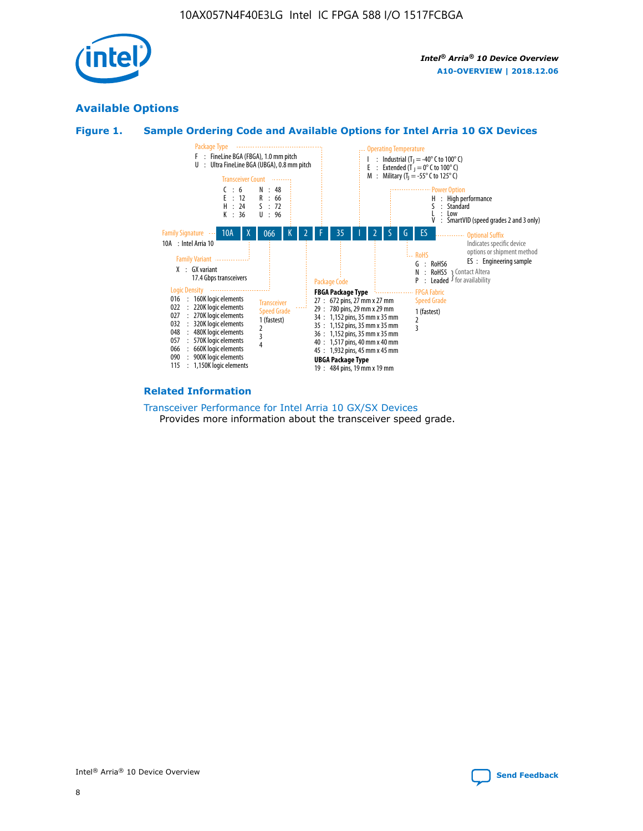

## **Available Options**





#### **Related Information**

[Transceiver Performance for Intel Arria 10 GX/SX Devices](https://www.intel.com/content/www/us/en/programmable/documentation/mcn1413182292568.html#mcn1413213965502) Provides more information about the transceiver speed grade.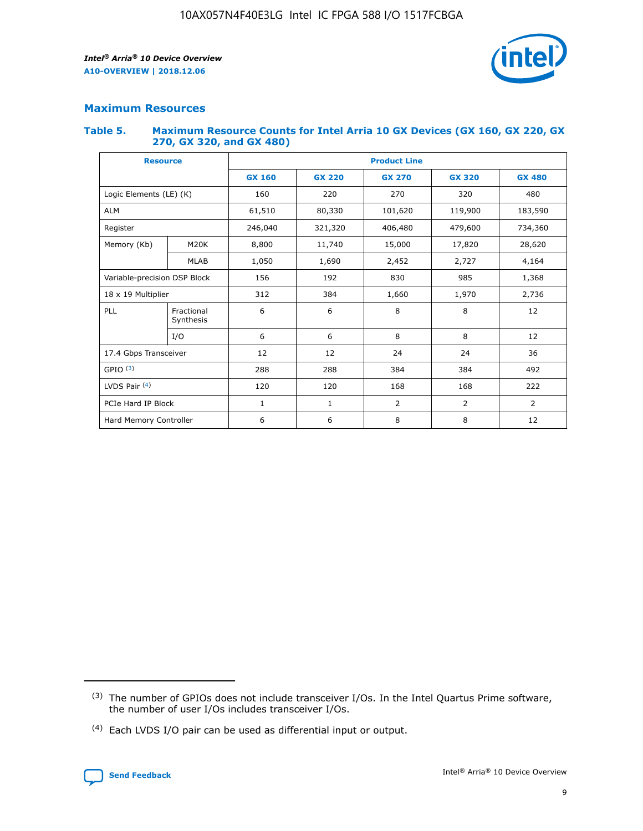

## **Maximum Resources**

#### **Table 5. Maximum Resource Counts for Intel Arria 10 GX Devices (GX 160, GX 220, GX 270, GX 320, and GX 480)**

| <b>Resource</b>              |                         | <b>Product Line</b> |                                |                |                |                |  |  |  |
|------------------------------|-------------------------|---------------------|--------------------------------|----------------|----------------|----------------|--|--|--|
|                              |                         | <b>GX 160</b>       | <b>GX 220</b><br><b>GX 270</b> |                | <b>GX 320</b>  | <b>GX 480</b>  |  |  |  |
| Logic Elements (LE) (K)      |                         | 160                 | 220                            | 270            | 320            | 480            |  |  |  |
| <b>ALM</b>                   |                         | 61,510              | 80,330                         | 101,620        | 119,900        | 183,590        |  |  |  |
| Register                     |                         | 246,040             | 321,320                        | 406,480        |                | 734,360        |  |  |  |
| Memory (Kb)                  | M <sub>20</sub> K       | 8,800               | 11,740<br>15,000               |                | 17,820         | 28,620         |  |  |  |
|                              | <b>MLAB</b>             | 1,050               | 1,690<br>2,452                 |                | 2,727          | 4,164          |  |  |  |
| Variable-precision DSP Block |                         | 156                 | 192                            | 985<br>830     |                | 1,368          |  |  |  |
| 18 x 19 Multiplier           |                         | 312                 | 384                            | 1,660<br>1,970 |                | 2,736          |  |  |  |
| PLL                          | Fractional<br>Synthesis | 6                   | 6                              | 8              | 8              | 12             |  |  |  |
|                              | I/O                     | 6                   | 6                              | 8              | 8              | 12             |  |  |  |
| 17.4 Gbps Transceiver        |                         | 12                  | 12                             | 24             | 24             |                |  |  |  |
| GPIO <sup>(3)</sup>          |                         | 288                 | 288<br>384                     |                | 384            | 492            |  |  |  |
| LVDS Pair $(4)$              |                         | 120                 | 120                            | 168<br>168     |                | 222            |  |  |  |
| PCIe Hard IP Block           |                         | $\mathbf{1}$        | 1                              | $\overline{2}$ | $\overline{2}$ | $\overline{2}$ |  |  |  |
| Hard Memory Controller       |                         | 6                   | 6                              | 8              | 8              | 12             |  |  |  |

<sup>(4)</sup> Each LVDS I/O pair can be used as differential input or output.



<sup>(3)</sup> The number of GPIOs does not include transceiver I/Os. In the Intel Quartus Prime software, the number of user I/Os includes transceiver I/Os.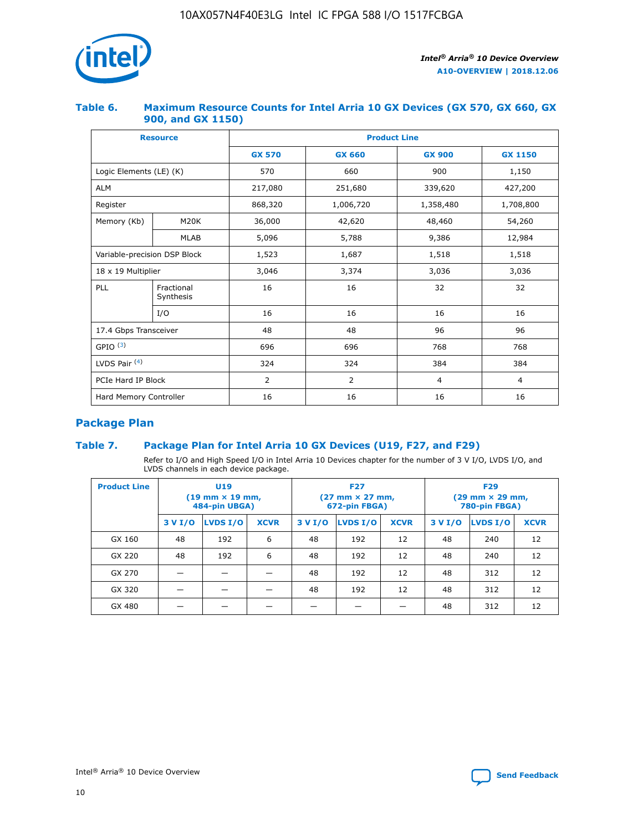

## **Table 6. Maximum Resource Counts for Intel Arria 10 GX Devices (GX 570, GX 660, GX 900, and GX 1150)**

|                              | <b>Resource</b>         | <b>Product Line</b> |                |                |                |  |  |  |
|------------------------------|-------------------------|---------------------|----------------|----------------|----------------|--|--|--|
|                              |                         | <b>GX 570</b>       | <b>GX 660</b>  | <b>GX 900</b>  | <b>GX 1150</b> |  |  |  |
| Logic Elements (LE) (K)      |                         | 570                 | 660            | 900            | 1,150          |  |  |  |
| <b>ALM</b>                   |                         | 217,080             | 251,680        | 339,620        | 427,200        |  |  |  |
| Register                     |                         | 868,320             | 1,006,720      | 1,358,480      | 1,708,800      |  |  |  |
| Memory (Kb)                  | <b>M20K</b>             | 36,000              | 42,620         | 48,460         | 54,260         |  |  |  |
| <b>MLAB</b>                  |                         | 5,096               | 5,788          | 9,386          | 12,984         |  |  |  |
| Variable-precision DSP Block |                         | 1,523               | 1,687          | 1,518          | 1,518          |  |  |  |
| $18 \times 19$ Multiplier    |                         | 3,046               | 3,374          | 3,036          | 3,036          |  |  |  |
| PLL                          | Fractional<br>Synthesis | 16                  | 16             | 32             | 32             |  |  |  |
|                              | I/O                     | 16                  | 16             | 16             | 16             |  |  |  |
| 17.4 Gbps Transceiver        |                         | 48                  | 48             | 96             | 96             |  |  |  |
| GPIO <sup>(3)</sup>          |                         | 696                 | 696            | 768            | 768            |  |  |  |
| LVDS Pair $(4)$              |                         | 324                 | 324            | 384            | 384            |  |  |  |
| PCIe Hard IP Block           |                         | 2                   | $\overline{2}$ | $\overline{4}$ | 4              |  |  |  |
| Hard Memory Controller       |                         | 16                  | 16             | 16             | 16             |  |  |  |

## **Package Plan**

## **Table 7. Package Plan for Intel Arria 10 GX Devices (U19, F27, and F29)**

Refer to I/O and High Speed I/O in Intel Arria 10 Devices chapter for the number of 3 V I/O, LVDS I/O, and LVDS channels in each device package.

| <b>Product Line</b> | U <sub>19</sub><br>$(19 \text{ mm} \times 19 \text{ mm})$<br>484-pin UBGA) |          |             |         | <b>F27</b><br>(27 mm × 27 mm,<br>672-pin FBGA) |             | <b>F29</b><br>(29 mm × 29 mm,<br>780-pin FBGA) |          |             |  |
|---------------------|----------------------------------------------------------------------------|----------|-------------|---------|------------------------------------------------|-------------|------------------------------------------------|----------|-------------|--|
|                     | 3 V I/O                                                                    | LVDS I/O | <b>XCVR</b> | 3 V I/O | <b>LVDS I/O</b>                                | <b>XCVR</b> | 3 V I/O                                        | LVDS I/O | <b>XCVR</b> |  |
| GX 160              | 48                                                                         | 192      | 6           | 48      | 192                                            | 12          | 48                                             | 240      | 12          |  |
| GX 220              | 48                                                                         | 192      | 6           | 48      | 192                                            | 12          | 48                                             | 240      | 12          |  |
| GX 270              |                                                                            |          |             | 48      | 192                                            | 12          | 48                                             | 312      | 12          |  |
| GX 320              |                                                                            |          |             | 48      | 192                                            | 12          | 48                                             | 312      | 12          |  |
| GX 480              |                                                                            |          |             |         |                                                |             | 48                                             | 312      | 12          |  |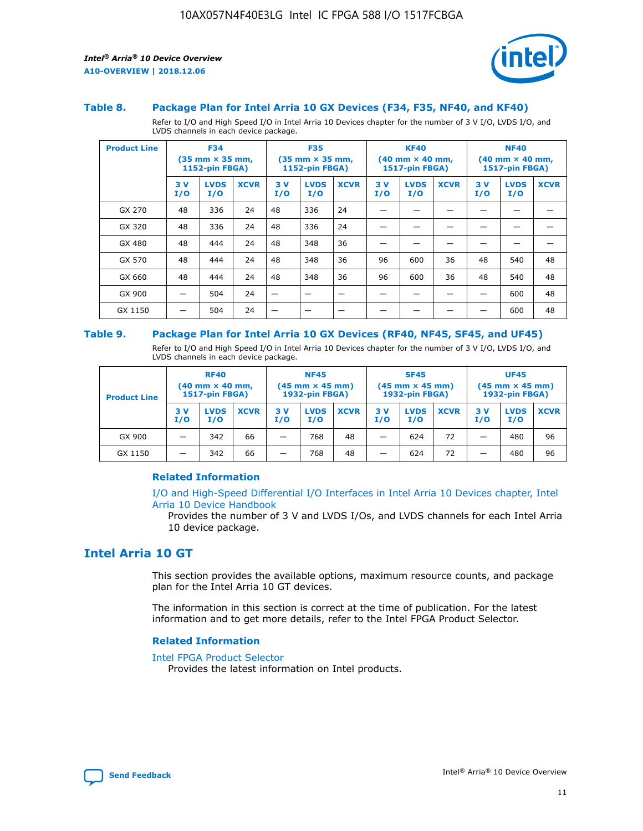

#### **Table 8. Package Plan for Intel Arria 10 GX Devices (F34, F35, NF40, and KF40)**

Refer to I/O and High Speed I/O in Intel Arria 10 Devices chapter for the number of 3 V I/O, LVDS I/O, and LVDS channels in each device package.

| <b>Product Line</b> | <b>F34</b><br>$(35 \text{ mm} \times 35 \text{ mm})$<br>1152-pin FBGA) |                    | <b>F35</b><br>$(35 \text{ mm} \times 35 \text{ mm})$<br><b>1152-pin FBGA)</b> |           | <b>KF40</b><br>$(40$ mm $\times$ 40 mm,<br>1517-pin FBGA) |             |           | <b>NF40</b><br>$(40$ mm $\times$ 40 mm,<br><b>1517-pin FBGA)</b> |             |            |                    |             |
|---------------------|------------------------------------------------------------------------|--------------------|-------------------------------------------------------------------------------|-----------|-----------------------------------------------------------|-------------|-----------|------------------------------------------------------------------|-------------|------------|--------------------|-------------|
|                     | 3V<br>I/O                                                              | <b>LVDS</b><br>I/O | <b>XCVR</b>                                                                   | 3V<br>I/O | <b>LVDS</b><br>I/O                                        | <b>XCVR</b> | 3V<br>I/O | <b>LVDS</b><br>I/O                                               | <b>XCVR</b> | 3 V<br>I/O | <b>LVDS</b><br>I/O | <b>XCVR</b> |
| GX 270              | 48                                                                     | 336                | 24                                                                            | 48        | 336                                                       | 24          |           |                                                                  |             |            |                    |             |
| GX 320              | 48                                                                     | 336                | 24                                                                            | 48        | 336                                                       | 24          |           |                                                                  |             |            |                    |             |
| GX 480              | 48                                                                     | 444                | 24                                                                            | 48        | 348                                                       | 36          |           |                                                                  |             |            |                    |             |
| GX 570              | 48                                                                     | 444                | 24                                                                            | 48        | 348                                                       | 36          | 96        | 600                                                              | 36          | 48         | 540                | 48          |
| GX 660              | 48                                                                     | 444                | 24                                                                            | 48        | 348                                                       | 36          | 96        | 600                                                              | 36          | 48         | 540                | 48          |
| GX 900              |                                                                        | 504                | 24                                                                            | -         |                                                           |             |           |                                                                  |             |            | 600                | 48          |
| GX 1150             |                                                                        | 504                | 24                                                                            |           |                                                           |             |           |                                                                  |             |            | 600                | 48          |

#### **Table 9. Package Plan for Intel Arria 10 GX Devices (RF40, NF45, SF45, and UF45)**

Refer to I/O and High Speed I/O in Intel Arria 10 Devices chapter for the number of 3 V I/O, LVDS I/O, and LVDS channels in each device package.

| <b>Product Line</b> | <b>RF40</b><br>$(40$ mm $\times$ 40 mm,<br>1517-pin FBGA) |                    | <b>NF45</b><br>$(45 \text{ mm} \times 45 \text{ mm})$<br><b>1932-pin FBGA)</b> |            |                    | <b>SF45</b><br>$(45 \text{ mm} \times 45 \text{ mm})$<br><b>1932-pin FBGA)</b> |            |                    | <b>UF45</b><br>$(45 \text{ mm} \times 45 \text{ mm})$<br><b>1932-pin FBGA)</b> |           |                    |             |
|---------------------|-----------------------------------------------------------|--------------------|--------------------------------------------------------------------------------|------------|--------------------|--------------------------------------------------------------------------------|------------|--------------------|--------------------------------------------------------------------------------|-----------|--------------------|-------------|
|                     | 3V<br>I/O                                                 | <b>LVDS</b><br>I/O | <b>XCVR</b>                                                                    | 3 V<br>I/O | <b>LVDS</b><br>I/O | <b>XCVR</b>                                                                    | 3 V<br>I/O | <b>LVDS</b><br>I/O | <b>XCVR</b>                                                                    | 3V<br>I/O | <b>LVDS</b><br>I/O | <b>XCVR</b> |
| GX 900              |                                                           | 342                | 66                                                                             | _          | 768                | 48                                                                             |            | 624                | 72                                                                             |           | 480                | 96          |
| GX 1150             |                                                           | 342                | 66                                                                             | _          | 768                | 48                                                                             |            | 624                | 72                                                                             |           | 480                | 96          |

#### **Related Information**

[I/O and High-Speed Differential I/O Interfaces in Intel Arria 10 Devices chapter, Intel](https://www.intel.com/content/www/us/en/programmable/documentation/sam1403482614086.html#sam1403482030321) [Arria 10 Device Handbook](https://www.intel.com/content/www/us/en/programmable/documentation/sam1403482614086.html#sam1403482030321)

Provides the number of 3 V and LVDS I/Os, and LVDS channels for each Intel Arria 10 device package.

## **Intel Arria 10 GT**

This section provides the available options, maximum resource counts, and package plan for the Intel Arria 10 GT devices.

The information in this section is correct at the time of publication. For the latest information and to get more details, refer to the Intel FPGA Product Selector.

#### **Related Information**

#### [Intel FPGA Product Selector](http://www.altera.com/products/selector/psg-selector.html)

Provides the latest information on Intel products.

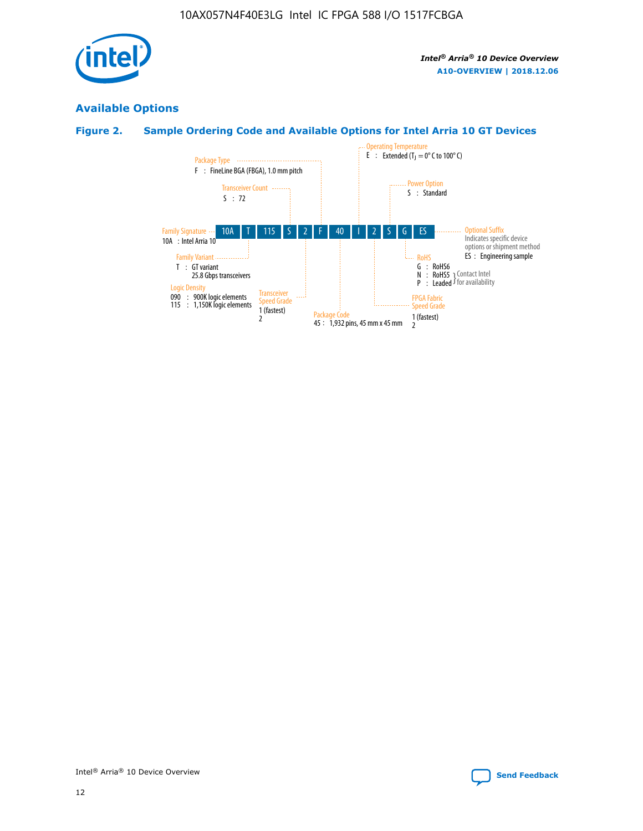

## **Available Options**

## **Figure 2. Sample Ordering Code and Available Options for Intel Arria 10 GT Devices**

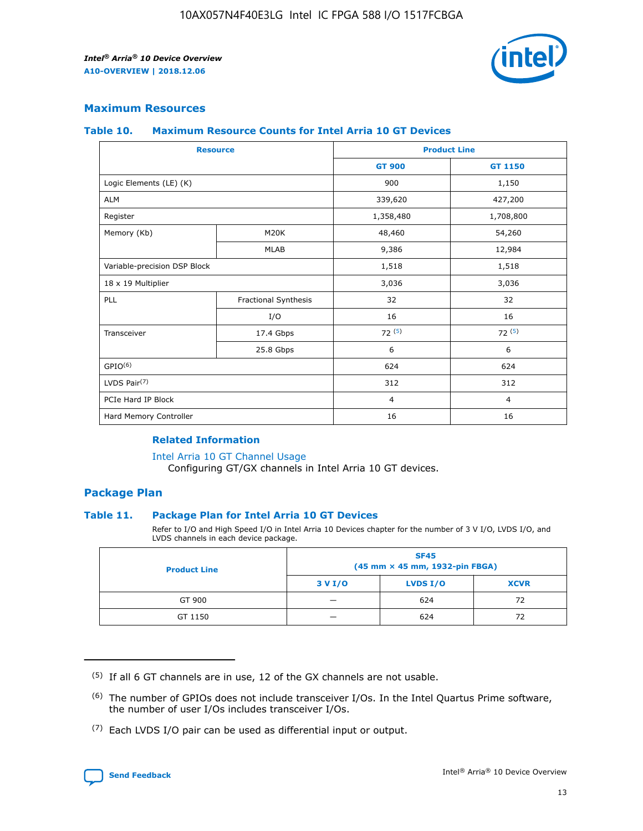

## **Maximum Resources**

#### **Table 10. Maximum Resource Counts for Intel Arria 10 GT Devices**

| <b>Resource</b>              |                      | <b>Product Line</b> |                |  |
|------------------------------|----------------------|---------------------|----------------|--|
|                              |                      | <b>GT 900</b>       | <b>GT 1150</b> |  |
| Logic Elements (LE) (K)      |                      | 900                 | 1,150          |  |
| <b>ALM</b>                   |                      | 339,620             | 427,200        |  |
| Register                     |                      | 1,358,480           | 1,708,800      |  |
| Memory (Kb)                  | M20K                 | 48,460              | 54,260         |  |
|                              | <b>MLAB</b>          | 9,386               | 12,984         |  |
| Variable-precision DSP Block |                      | 1,518               | 1,518          |  |
| 18 x 19 Multiplier           |                      | 3,036               | 3,036          |  |
| PLL                          | Fractional Synthesis | 32                  | 32             |  |
|                              | I/O                  | 16                  | 16             |  |
| Transceiver                  | 17.4 Gbps            | 72(5)               | 72(5)          |  |
|                              | 25.8 Gbps            | 6                   | 6              |  |
| GPIO <sup>(6)</sup>          |                      | 624                 | 624            |  |
| LVDS Pair $(7)$              |                      | 312                 | 312            |  |
| PCIe Hard IP Block           |                      | $\overline{4}$      | $\overline{4}$ |  |
| Hard Memory Controller       |                      | 16                  | 16             |  |

#### **Related Information**

#### [Intel Arria 10 GT Channel Usage](https://www.intel.com/content/www/us/en/programmable/documentation/nik1398707230472.html#nik1398707008178)

Configuring GT/GX channels in Intel Arria 10 GT devices.

## **Package Plan**

#### **Table 11. Package Plan for Intel Arria 10 GT Devices**

Refer to I/O and High Speed I/O in Intel Arria 10 Devices chapter for the number of 3 V I/O, LVDS I/O, and LVDS channels in each device package.

| <b>Product Line</b> | <b>SF45</b><br>(45 mm × 45 mm, 1932-pin FBGA) |                 |             |  |  |  |
|---------------------|-----------------------------------------------|-----------------|-------------|--|--|--|
|                     | 3 V I/O                                       | <b>LVDS I/O</b> | <b>XCVR</b> |  |  |  |
| GT 900              |                                               | 624             | 72          |  |  |  |
| GT 1150             |                                               | 624             | 72          |  |  |  |

<sup>(7)</sup> Each LVDS I/O pair can be used as differential input or output.



 $(5)$  If all 6 GT channels are in use, 12 of the GX channels are not usable.

<sup>(6)</sup> The number of GPIOs does not include transceiver I/Os. In the Intel Quartus Prime software, the number of user I/Os includes transceiver I/Os.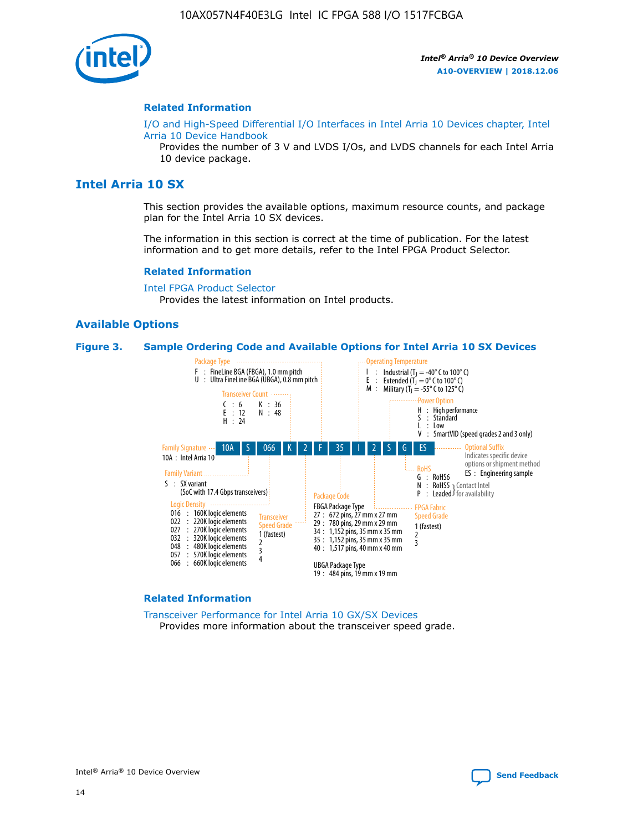

#### **Related Information**

[I/O and High-Speed Differential I/O Interfaces in Intel Arria 10 Devices chapter, Intel](https://www.intel.com/content/www/us/en/programmable/documentation/sam1403482614086.html#sam1403482030321) [Arria 10 Device Handbook](https://www.intel.com/content/www/us/en/programmable/documentation/sam1403482614086.html#sam1403482030321)

Provides the number of 3 V and LVDS I/Os, and LVDS channels for each Intel Arria 10 device package.

## **Intel Arria 10 SX**

This section provides the available options, maximum resource counts, and package plan for the Intel Arria 10 SX devices.

The information in this section is correct at the time of publication. For the latest information and to get more details, refer to the Intel FPGA Product Selector.

#### **Related Information**

[Intel FPGA Product Selector](http://www.altera.com/products/selector/psg-selector.html) Provides the latest information on Intel products.

#### **Available Options**

#### **Figure 3. Sample Ordering Code and Available Options for Intel Arria 10 SX Devices**



#### **Related Information**

[Transceiver Performance for Intel Arria 10 GX/SX Devices](https://www.intel.com/content/www/us/en/programmable/documentation/mcn1413182292568.html#mcn1413213965502) Provides more information about the transceiver speed grade.

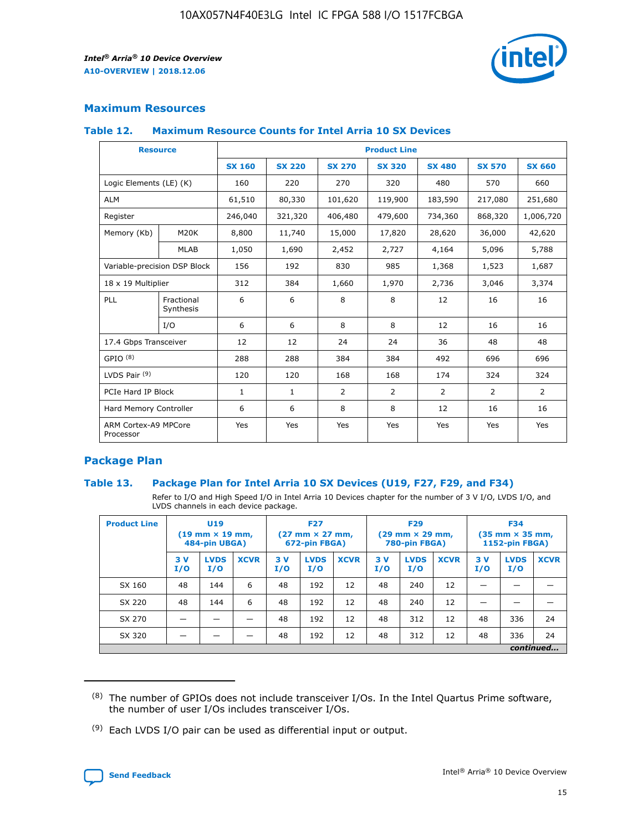

## **Maximum Resources**

#### **Table 12. Maximum Resource Counts for Intel Arria 10 SX Devices**

| <b>Resource</b>                   |                         | <b>Product Line</b> |               |                |                |                |                |                |  |  |  |
|-----------------------------------|-------------------------|---------------------|---------------|----------------|----------------|----------------|----------------|----------------|--|--|--|
|                                   |                         | <b>SX 160</b>       | <b>SX 220</b> | <b>SX 270</b>  | <b>SX 320</b>  | <b>SX 480</b>  | <b>SX 570</b>  | <b>SX 660</b>  |  |  |  |
| Logic Elements (LE) (K)           |                         | 160                 | 220           | 270            | 320            | 480            | 570            | 660            |  |  |  |
| <b>ALM</b>                        |                         | 61,510              | 80,330        | 101,620        | 119,900        | 183,590        | 217,080        | 251,680        |  |  |  |
| Register                          |                         | 246,040             | 321,320       | 406,480        | 479,600        | 734,360        | 868,320        | 1,006,720      |  |  |  |
| Memory (Kb)                       | M <sub>20</sub> K       | 8,800               | 11,740        | 15,000         | 17,820         | 28,620         | 36,000         | 42,620         |  |  |  |
|                                   | <b>MLAB</b>             | 1,050               | 1,690         | 2,452          | 2,727          | 4,164          | 5,096          | 5,788          |  |  |  |
| Variable-precision DSP Block      |                         | 156                 | 192           | 830            | 985            | 1,368          | 1,523          | 1,687          |  |  |  |
| 18 x 19 Multiplier                |                         | 312                 | 384           | 1,660          | 1,970          | 2,736          | 3,046          | 3,374          |  |  |  |
| PLL                               | Fractional<br>Synthesis | 6                   | 6             | 8              | 8              | 12             | 16             | 16             |  |  |  |
|                                   | I/O                     | 6                   | 6             | 8              | 8              | 12             | 16             | 16             |  |  |  |
| 17.4 Gbps Transceiver             |                         | 12                  | 12            | 24             | 24             | 36             | 48             | 48             |  |  |  |
| GPIO <sup>(8)</sup>               |                         | 288                 | 288           | 384            | 384            | 492            | 696            | 696            |  |  |  |
| LVDS Pair $(9)$                   |                         | 120                 | 120           | 168            | 168            | 174            | 324            | 324            |  |  |  |
| PCIe Hard IP Block                |                         | $\mathbf{1}$        | $\mathbf{1}$  | $\overline{2}$ | $\overline{2}$ | $\overline{2}$ | $\overline{2}$ | $\overline{2}$ |  |  |  |
| Hard Memory Controller            |                         | 6                   | 6             | 8              | 8              | 12             | 16             | 16             |  |  |  |
| ARM Cortex-A9 MPCore<br>Processor |                         | Yes                 | Yes           | Yes            | Yes            | Yes            | Yes            | <b>Yes</b>     |  |  |  |

## **Package Plan**

#### **Table 13. Package Plan for Intel Arria 10 SX Devices (U19, F27, F29, and F34)**

Refer to I/O and High Speed I/O in Intel Arria 10 Devices chapter for the number of 3 V I/O, LVDS I/O, and LVDS channels in each device package.

| <b>Product Line</b> | U19<br>$(19 \text{ mm} \times 19 \text{ mm})$<br>484-pin UBGA) |                    | <b>F27</b><br>$(27 \text{ mm} \times 27 \text{ mm})$<br>672-pin FBGA) |           | <b>F29</b><br>$(29 \text{ mm} \times 29 \text{ mm})$<br>780-pin FBGA) |             |            | <b>F34</b><br>$(35 \text{ mm} \times 35 \text{ mm})$<br><b>1152-pin FBGA)</b> |             |           |                    |             |
|---------------------|----------------------------------------------------------------|--------------------|-----------------------------------------------------------------------|-----------|-----------------------------------------------------------------------|-------------|------------|-------------------------------------------------------------------------------|-------------|-----------|--------------------|-------------|
|                     | 3V<br>I/O                                                      | <b>LVDS</b><br>I/O | <b>XCVR</b>                                                           | 3V<br>I/O | <b>LVDS</b><br>I/O                                                    | <b>XCVR</b> | 3 V<br>I/O | <b>LVDS</b><br>I/O                                                            | <b>XCVR</b> | 3V<br>I/O | <b>LVDS</b><br>I/O | <b>XCVR</b> |
| SX 160              | 48                                                             | 144                | 6                                                                     | 48        | 192                                                                   | 12          | 48         | 240                                                                           | 12          | –         |                    |             |
| SX 220              | 48                                                             | 144                | 6                                                                     | 48        | 192                                                                   | 12          | 48         | 240                                                                           | 12          |           |                    |             |
| SX 270              |                                                                |                    |                                                                       | 48        | 192                                                                   | 12          | 48         | 312                                                                           | 12          | 48        | 336                | 24          |
| SX 320              |                                                                |                    |                                                                       | 48        | 192                                                                   | 12          | 48         | 312                                                                           | 12          | 48        | 336                | 24          |
|                     | continued                                                      |                    |                                                                       |           |                                                                       |             |            |                                                                               |             |           |                    |             |

 $(8)$  The number of GPIOs does not include transceiver I/Os. In the Intel Quartus Prime software, the number of user I/Os includes transceiver I/Os.

 $(9)$  Each LVDS I/O pair can be used as differential input or output.

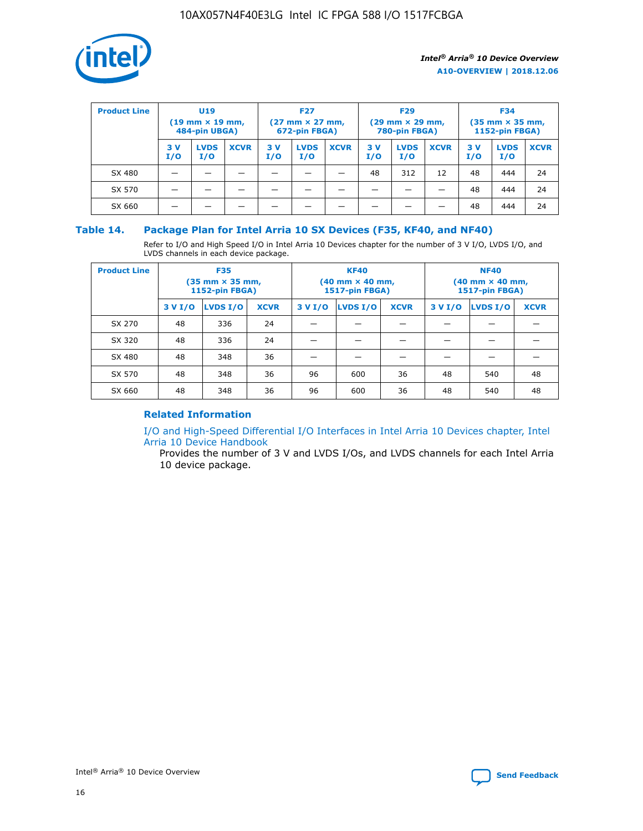

| <b>Product Line</b> | U <sub>19</sub><br>$(19 \text{ mm} \times 19 \text{ mm})$<br>484-pin UBGA) |                    | <b>F27</b><br>$(27 \text{ mm} \times 27 \text{ mm})$<br>672-pin FBGA) |           |                    | <b>F29</b><br>$(29 \text{ mm} \times 29 \text{ mm})$<br>780-pin FBGA) |           |                    | <b>F34</b><br>$(35$ mm $\times$ 35 mm,<br><b>1152-pin FBGA)</b> |           |                    |             |
|---------------------|----------------------------------------------------------------------------|--------------------|-----------------------------------------------------------------------|-----------|--------------------|-----------------------------------------------------------------------|-----------|--------------------|-----------------------------------------------------------------|-----------|--------------------|-------------|
|                     | 3 V<br>I/O                                                                 | <b>LVDS</b><br>I/O | <b>XCVR</b>                                                           | 3V<br>I/O | <b>LVDS</b><br>I/O | <b>XCVR</b>                                                           | 3V<br>I/O | <b>LVDS</b><br>I/O | <b>XCVR</b>                                                     | 3V<br>I/O | <b>LVDS</b><br>I/O | <b>XCVR</b> |
| SX 480              |                                                                            |                    |                                                                       |           |                    |                                                                       | 48        | 312                | 12                                                              | 48        | 444                | 24          |
| SX 570              |                                                                            |                    |                                                                       |           |                    |                                                                       |           |                    |                                                                 | 48        | 444                | 24          |
| SX 660              |                                                                            |                    |                                                                       |           |                    |                                                                       |           |                    |                                                                 | 48        | 444                | 24          |

## **Table 14. Package Plan for Intel Arria 10 SX Devices (F35, KF40, and NF40)**

Refer to I/O and High Speed I/O in Intel Arria 10 Devices chapter for the number of 3 V I/O, LVDS I/O, and LVDS channels in each device package.

| <b>Product Line</b> | <b>F35</b><br>(35 mm × 35 mm,<br>1152-pin FBGA) |          |             |                                           | <b>KF40</b><br>(40 mm × 40 mm,<br>1517-pin FBGA) |    | <b>NF40</b><br>(40 mm × 40 mm,<br>1517-pin FBGA) |          |             |  |
|---------------------|-------------------------------------------------|----------|-------------|-------------------------------------------|--------------------------------------------------|----|--------------------------------------------------|----------|-------------|--|
|                     | 3 V I/O                                         | LVDS I/O | <b>XCVR</b> | <b>LVDS I/O</b><br>3 V I/O<br><b>XCVR</b> |                                                  |    | 3 V I/O                                          | LVDS I/O | <b>XCVR</b> |  |
| SX 270              | 48                                              | 336      | 24          |                                           |                                                  |    |                                                  |          |             |  |
| SX 320              | 48                                              | 336      | 24          |                                           |                                                  |    |                                                  |          |             |  |
| SX 480              | 48                                              | 348      | 36          |                                           |                                                  |    |                                                  |          |             |  |
| SX 570              | 48                                              | 348      | 36          | 96                                        | 600                                              | 36 | 48                                               | 540      | 48          |  |
| SX 660              | 48                                              | 348      | 36          | 96                                        | 600                                              | 36 | 48                                               | 540      | 48          |  |

## **Related Information**

[I/O and High-Speed Differential I/O Interfaces in Intel Arria 10 Devices chapter, Intel](https://www.intel.com/content/www/us/en/programmable/documentation/sam1403482614086.html#sam1403482030321) [Arria 10 Device Handbook](https://www.intel.com/content/www/us/en/programmable/documentation/sam1403482614086.html#sam1403482030321)

Provides the number of 3 V and LVDS I/Os, and LVDS channels for each Intel Arria 10 device package.

Intel<sup>®</sup> Arria<sup>®</sup> 10 Device Overview **[Send Feedback](mailto:FPGAtechdocfeedback@intel.com?subject=Feedback%20on%20Intel%20Arria%2010%20Device%20Overview%20(A10-OVERVIEW%202018.12.06)&body=We%20appreciate%20your%20feedback.%20In%20your%20comments,%20also%20specify%20the%20page%20number%20or%20paragraph.%20Thank%20you.)** Send Feedback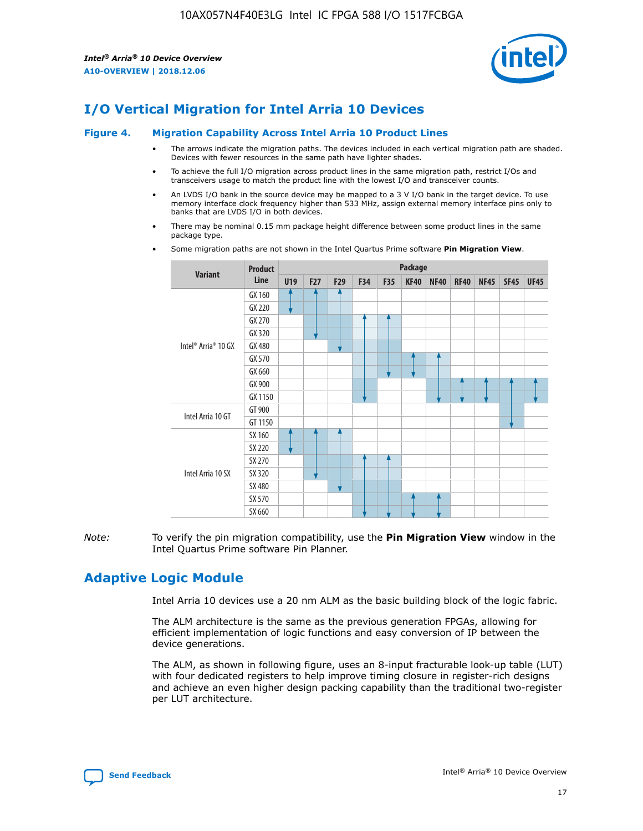

# **I/O Vertical Migration for Intel Arria 10 Devices**

#### **Figure 4. Migration Capability Across Intel Arria 10 Product Lines**

- The arrows indicate the migration paths. The devices included in each vertical migration path are shaded. Devices with fewer resources in the same path have lighter shades.
- To achieve the full I/O migration across product lines in the same migration path, restrict I/Os and transceivers usage to match the product line with the lowest I/O and transceiver counts.
- An LVDS I/O bank in the source device may be mapped to a 3 V I/O bank in the target device. To use memory interface clock frequency higher than 533 MHz, assign external memory interface pins only to banks that are LVDS I/O in both devices.
- There may be nominal 0.15 mm package height difference between some product lines in the same package type.
	- **Variant Product Line Package U19 F27 F29 F34 F35 KF40 NF40 RF40 NF45 SF45 UF45** Intel® Arria® 10 GX GX 160 GX 220 GX 270 GX 320 GX 480 GX 570 GX 660 GX 900 GX 1150 Intel Arria 10 GT GT 900 GT 1150 Intel Arria 10 SX SX 160 SX 220 SX 270 SX 320 SX 480 SX 570 SX 660
- Some migration paths are not shown in the Intel Quartus Prime software **Pin Migration View**.

*Note:* To verify the pin migration compatibility, use the **Pin Migration View** window in the Intel Quartus Prime software Pin Planner.

# **Adaptive Logic Module**

Intel Arria 10 devices use a 20 nm ALM as the basic building block of the logic fabric.

The ALM architecture is the same as the previous generation FPGAs, allowing for efficient implementation of logic functions and easy conversion of IP between the device generations.

The ALM, as shown in following figure, uses an 8-input fracturable look-up table (LUT) with four dedicated registers to help improve timing closure in register-rich designs and achieve an even higher design packing capability than the traditional two-register per LUT architecture.

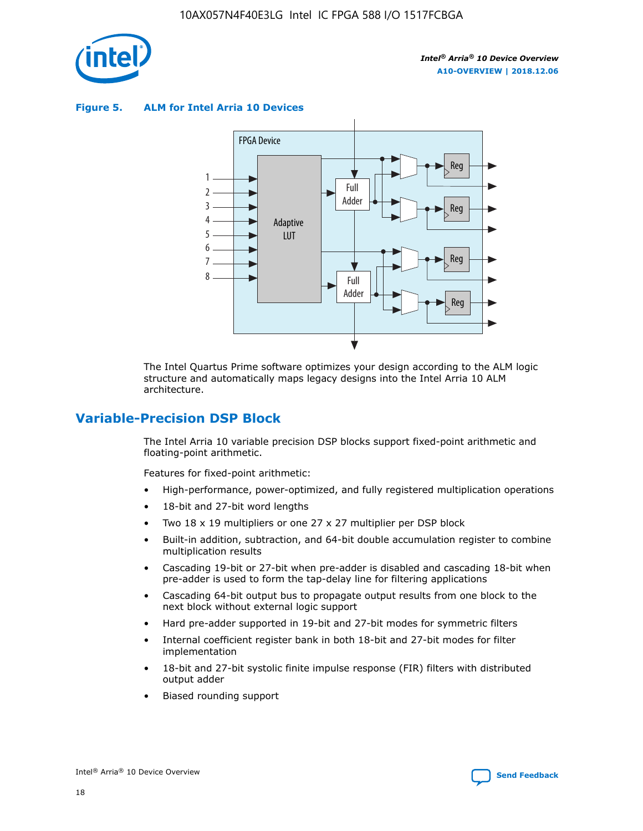

**Figure 5. ALM for Intel Arria 10 Devices**



The Intel Quartus Prime software optimizes your design according to the ALM logic structure and automatically maps legacy designs into the Intel Arria 10 ALM architecture.

## **Variable-Precision DSP Block**

The Intel Arria 10 variable precision DSP blocks support fixed-point arithmetic and floating-point arithmetic.

Features for fixed-point arithmetic:

- High-performance, power-optimized, and fully registered multiplication operations
- 18-bit and 27-bit word lengths
- Two 18 x 19 multipliers or one 27 x 27 multiplier per DSP block
- Built-in addition, subtraction, and 64-bit double accumulation register to combine multiplication results
- Cascading 19-bit or 27-bit when pre-adder is disabled and cascading 18-bit when pre-adder is used to form the tap-delay line for filtering applications
- Cascading 64-bit output bus to propagate output results from one block to the next block without external logic support
- Hard pre-adder supported in 19-bit and 27-bit modes for symmetric filters
- Internal coefficient register bank in both 18-bit and 27-bit modes for filter implementation
- 18-bit and 27-bit systolic finite impulse response (FIR) filters with distributed output adder
- Biased rounding support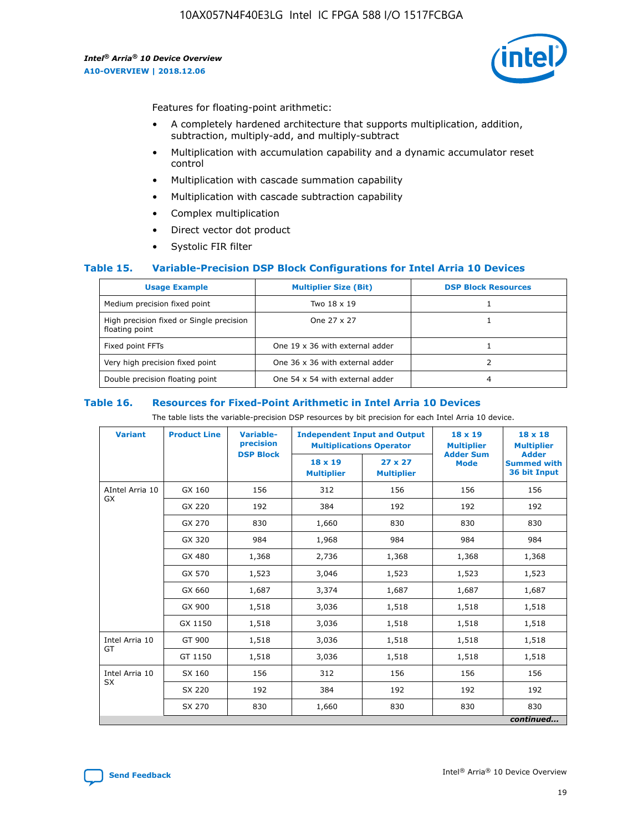

Features for floating-point arithmetic:

- A completely hardened architecture that supports multiplication, addition, subtraction, multiply-add, and multiply-subtract
- Multiplication with accumulation capability and a dynamic accumulator reset control
- Multiplication with cascade summation capability
- Multiplication with cascade subtraction capability
- Complex multiplication
- Direct vector dot product
- Systolic FIR filter

#### **Table 15. Variable-Precision DSP Block Configurations for Intel Arria 10 Devices**

| <b>Usage Example</b>                                       | <b>Multiplier Size (Bit)</b>    | <b>DSP Block Resources</b> |
|------------------------------------------------------------|---------------------------------|----------------------------|
| Medium precision fixed point                               | Two 18 x 19                     |                            |
| High precision fixed or Single precision<br>floating point | One 27 x 27                     |                            |
| Fixed point FFTs                                           | One 19 x 36 with external adder |                            |
| Very high precision fixed point                            | One 36 x 36 with external adder |                            |
| Double precision floating point                            | One 54 x 54 with external adder | 4                          |

#### **Table 16. Resources for Fixed-Point Arithmetic in Intel Arria 10 Devices**

The table lists the variable-precision DSP resources by bit precision for each Intel Arria 10 device.

| <b>Variant</b>  | <b>Product Line</b> | <b>Variable-</b><br>precision<br><b>DSP Block</b> | <b>Independent Input and Output</b><br><b>Multiplications Operator</b> |                                     | 18 x 19<br><b>Multiplier</b><br><b>Adder Sum</b> | $18 \times 18$<br><b>Multiplier</b><br><b>Adder</b> |
|-----------------|---------------------|---------------------------------------------------|------------------------------------------------------------------------|-------------------------------------|--------------------------------------------------|-----------------------------------------------------|
|                 |                     |                                                   | 18 x 19<br><b>Multiplier</b>                                           | $27 \times 27$<br><b>Multiplier</b> | <b>Mode</b>                                      | <b>Summed with</b><br>36 bit Input                  |
| AIntel Arria 10 | GX 160              | 156                                               | 312                                                                    | 156                                 | 156                                              | 156                                                 |
| GX              | GX 220              | 192                                               | 384                                                                    | 192                                 | 192                                              | 192                                                 |
|                 | GX 270              | 830                                               | 1,660                                                                  | 830                                 | 830                                              | 830                                                 |
|                 | GX 320              | 984                                               | 1,968                                                                  | 984                                 | 984                                              | 984                                                 |
|                 | GX 480              | 1,368                                             | 2,736                                                                  | 1,368                               | 1,368                                            | 1,368                                               |
|                 | GX 570              | 1,523                                             | 3,046                                                                  | 1,523                               | 1,523                                            | 1,523                                               |
|                 | GX 660              | 1,687                                             | 3,374                                                                  | 1,687                               | 1,687                                            | 1,687                                               |
|                 | GX 900              | 1,518                                             | 3,036                                                                  | 1,518                               | 1,518                                            | 1,518                                               |
|                 | GX 1150             | 1,518                                             | 3,036                                                                  | 1,518                               | 1,518                                            | 1,518                                               |
| Intel Arria 10  | GT 900              | 1,518                                             | 3,036                                                                  | 1,518                               | 1,518                                            | 1,518                                               |
| GT              | GT 1150             | 1,518                                             | 3,036                                                                  | 1,518                               | 1,518                                            | 1,518                                               |
| Intel Arria 10  | SX 160              | 156                                               | 312                                                                    | 156                                 | 156                                              | 156                                                 |
| <b>SX</b>       | SX 220              | 192                                               | 384                                                                    | 192                                 | 192                                              | 192                                                 |
|                 | SX 270              | 830                                               | 1,660                                                                  | 830                                 | 830                                              | 830                                                 |
|                 |                     |                                                   |                                                                        |                                     |                                                  | continued                                           |

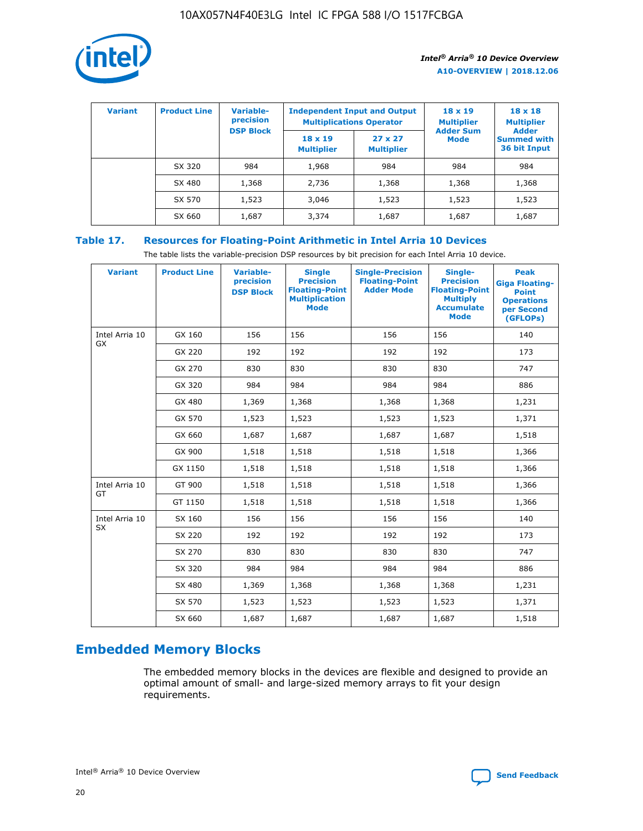

| <b>Variant</b> | <b>Product Line</b> | Variable-<br>precision | <b>Independent Input and Output</b><br><b>Multiplications Operator</b> |                                     | $18 \times 19$<br><b>Multiplier</b> | $18 \times 18$<br><b>Multiplier</b><br><b>Adder</b> |  |
|----------------|---------------------|------------------------|------------------------------------------------------------------------|-------------------------------------|-------------------------------------|-----------------------------------------------------|--|
|                |                     | <b>DSP Block</b>       | $18 \times 19$<br><b>Multiplier</b>                                    | $27 \times 27$<br><b>Multiplier</b> | <b>Adder Sum</b><br><b>Mode</b>     | <b>Summed with</b><br>36 bit Input                  |  |
|                | SX 320              | 984                    | 1,968                                                                  | 984                                 | 984                                 | 984                                                 |  |
|                | SX 480              | 1,368                  | 2,736                                                                  | 1,368                               | 1,368                               | 1,368                                               |  |
|                | SX 570              | 1,523                  | 3,046                                                                  | 1,523                               | 1,523                               | 1,523                                               |  |
|                | SX 660              | 1,687                  | 3,374                                                                  | 1,687                               | 1,687                               | 1,687                                               |  |

## **Table 17. Resources for Floating-Point Arithmetic in Intel Arria 10 Devices**

The table lists the variable-precision DSP resources by bit precision for each Intel Arria 10 device.

| <b>Variant</b> | <b>Product Line</b> | <b>Variable-</b><br>precision<br><b>DSP Block</b> | <b>Single</b><br><b>Precision</b><br><b>Floating-Point</b><br><b>Multiplication</b><br><b>Mode</b> | <b>Single-Precision</b><br><b>Floating-Point</b><br><b>Adder Mode</b> | Single-<br><b>Precision</b><br><b>Floating-Point</b><br><b>Multiply</b><br><b>Accumulate</b><br><b>Mode</b> | <b>Peak</b><br><b>Giga Floating-</b><br><b>Point</b><br><b>Operations</b><br>per Second<br>(GFLOPs) |
|----------------|---------------------|---------------------------------------------------|----------------------------------------------------------------------------------------------------|-----------------------------------------------------------------------|-------------------------------------------------------------------------------------------------------------|-----------------------------------------------------------------------------------------------------|
| Intel Arria 10 | GX 160              | 156                                               | 156                                                                                                | 156                                                                   | 156                                                                                                         | 140                                                                                                 |
| GX             | GX 220              | 192                                               | 192                                                                                                | 192                                                                   | 192                                                                                                         | 173                                                                                                 |
|                | GX 270              | 830                                               | 830                                                                                                | 830                                                                   | 830                                                                                                         | 747                                                                                                 |
|                | GX 320              | 984                                               | 984                                                                                                | 984                                                                   | 984                                                                                                         | 886                                                                                                 |
|                | GX 480              | 1,369                                             | 1,368                                                                                              | 1,368                                                                 | 1,368                                                                                                       | 1,231                                                                                               |
|                | GX 570              | 1,523                                             | 1,523                                                                                              | 1,523                                                                 | 1,523                                                                                                       | 1,371                                                                                               |
|                | GX 660              | 1,687                                             | 1,687                                                                                              | 1,687                                                                 | 1,687                                                                                                       | 1,518                                                                                               |
|                | GX 900              | 1,518                                             | 1,518                                                                                              | 1,518                                                                 | 1,518                                                                                                       | 1,366                                                                                               |
|                | GX 1150             | 1,518                                             | 1,518                                                                                              | 1,518                                                                 | 1,518                                                                                                       | 1,366                                                                                               |
| Intel Arria 10 | GT 900              | 1,518                                             | 1,518                                                                                              | 1,518                                                                 | 1,518                                                                                                       | 1,366                                                                                               |
| GT             | GT 1150             | 1,518                                             | 1,518                                                                                              | 1,518                                                                 | 1,518                                                                                                       | 1,366                                                                                               |
| Intel Arria 10 | SX 160              | 156                                               | 156                                                                                                | 156                                                                   | 156                                                                                                         | 140                                                                                                 |
| <b>SX</b>      | SX 220              | 192                                               | 192                                                                                                | 192                                                                   | 192                                                                                                         | 173                                                                                                 |
|                | SX 270              | 830                                               | 830                                                                                                | 830                                                                   | 830                                                                                                         | 747                                                                                                 |
|                | SX 320              | 984                                               | 984                                                                                                | 984                                                                   | 984                                                                                                         | 886                                                                                                 |
|                | SX 480              | 1,369                                             | 1,368                                                                                              | 1,368                                                                 | 1,368                                                                                                       | 1,231                                                                                               |
|                | SX 570              | 1,523                                             | 1,523                                                                                              | 1,523                                                                 | 1,523                                                                                                       | 1,371                                                                                               |
|                | SX 660              | 1,687                                             | 1,687                                                                                              | 1,687                                                                 | 1,687                                                                                                       | 1,518                                                                                               |

# **Embedded Memory Blocks**

The embedded memory blocks in the devices are flexible and designed to provide an optimal amount of small- and large-sized memory arrays to fit your design requirements.

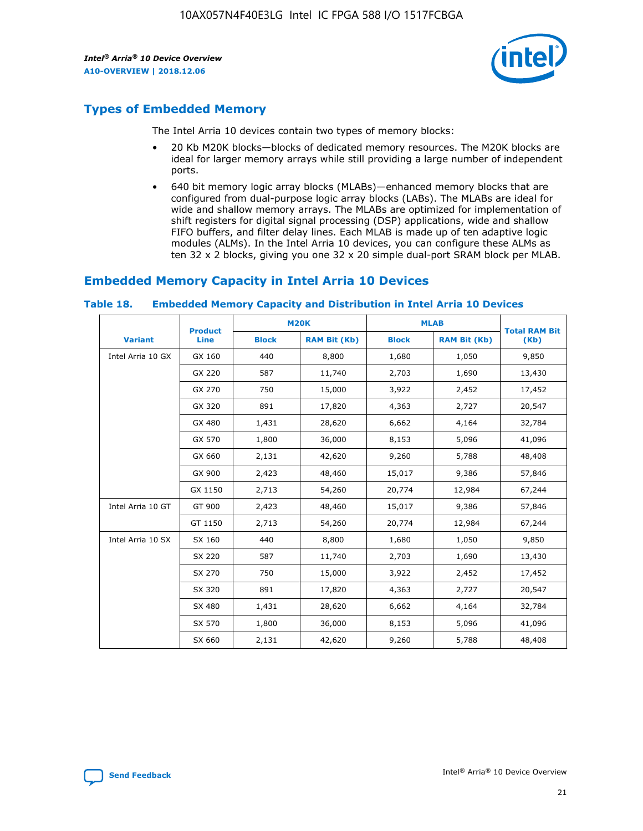

# **Types of Embedded Memory**

The Intel Arria 10 devices contain two types of memory blocks:

- 20 Kb M20K blocks—blocks of dedicated memory resources. The M20K blocks are ideal for larger memory arrays while still providing a large number of independent ports.
- 640 bit memory logic array blocks (MLABs)—enhanced memory blocks that are configured from dual-purpose logic array blocks (LABs). The MLABs are ideal for wide and shallow memory arrays. The MLABs are optimized for implementation of shift registers for digital signal processing (DSP) applications, wide and shallow FIFO buffers, and filter delay lines. Each MLAB is made up of ten adaptive logic modules (ALMs). In the Intel Arria 10 devices, you can configure these ALMs as ten 32 x 2 blocks, giving you one 32 x 20 simple dual-port SRAM block per MLAB.

## **Embedded Memory Capacity in Intel Arria 10 Devices**

|                   | <b>Product</b> |              | <b>M20K</b>         | <b>MLAB</b>  |                     | <b>Total RAM Bit</b> |
|-------------------|----------------|--------------|---------------------|--------------|---------------------|----------------------|
| <b>Variant</b>    | <b>Line</b>    | <b>Block</b> | <b>RAM Bit (Kb)</b> | <b>Block</b> | <b>RAM Bit (Kb)</b> | (Kb)                 |
| Intel Arria 10 GX | GX 160         | 440          | 8,800               | 1,680        | 1,050               | 9,850                |
|                   | GX 220         | 587          | 11,740              | 2,703        | 1,690               | 13,430               |
|                   | GX 270         | 750          | 15,000              | 3,922        | 2,452               | 17,452               |
|                   | GX 320         | 891          | 17,820              | 4,363        | 2,727               | 20,547               |
|                   | GX 480         | 1,431        | 28,620              | 6,662        | 4,164               | 32,784               |
|                   | GX 570         | 1,800        | 36,000              | 8,153        | 5,096               | 41,096               |
|                   | GX 660         | 2,131        | 42,620              | 9,260        | 5,788               | 48,408               |
|                   | GX 900         | 2,423        | 48,460              | 15,017       | 9,386               | 57,846               |
|                   | GX 1150        | 2,713        | 54,260              | 20,774       | 12,984              | 67,244               |
| Intel Arria 10 GT | GT 900         | 2,423        | 48,460              | 15,017       | 9,386               | 57,846               |
|                   | GT 1150        | 2,713        | 54,260              | 20,774       | 12,984              | 67,244               |
| Intel Arria 10 SX | SX 160         | 440          | 8,800               | 1,680        | 1,050               | 9,850                |
|                   | SX 220         | 587          | 11,740              | 2,703        | 1,690               | 13,430               |
|                   | SX 270         | 750          | 15,000              | 3,922        | 2,452               | 17,452               |
|                   | SX 320         | 891          | 17,820              | 4,363        | 2,727               | 20,547               |
|                   | SX 480         | 1,431        | 28,620              | 6,662        | 4,164               | 32,784               |
|                   | SX 570         | 1,800        | 36,000              | 8,153        | 5,096               | 41,096               |
|                   | SX 660         | 2,131        | 42,620              | 9,260        | 5,788               | 48,408               |

#### **Table 18. Embedded Memory Capacity and Distribution in Intel Arria 10 Devices**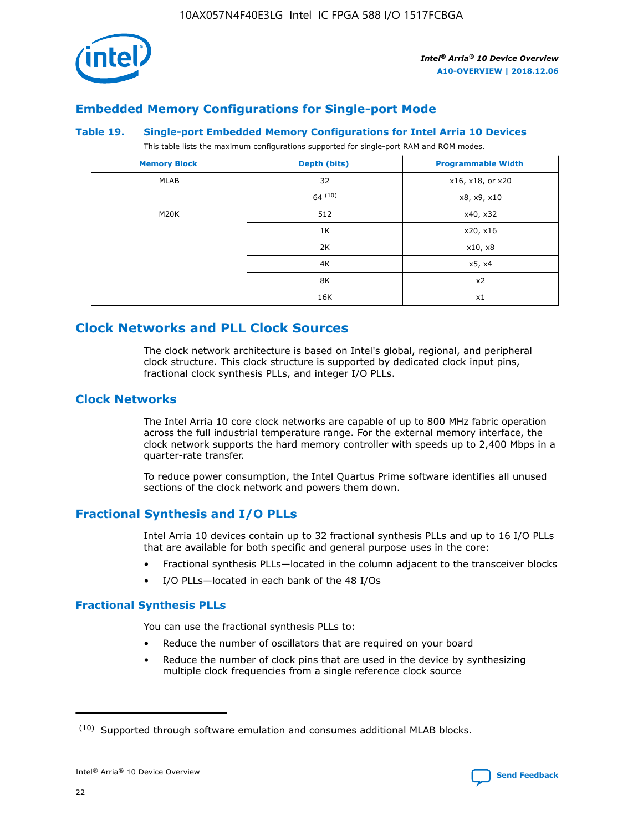

## **Embedded Memory Configurations for Single-port Mode**

#### **Table 19. Single-port Embedded Memory Configurations for Intel Arria 10 Devices**

This table lists the maximum configurations supported for single-port RAM and ROM modes.

| <b>Memory Block</b> | Depth (bits) | <b>Programmable Width</b> |
|---------------------|--------------|---------------------------|
| MLAB                | 32           | x16, x18, or x20          |
|                     | 64(10)       | x8, x9, x10               |
| M20K                | 512          | x40, x32                  |
|                     | 1K           | x20, x16                  |
|                     | 2K           | x10, x8                   |
|                     | 4K           | x5, x4                    |
|                     | 8K           | x2                        |
|                     | 16K          | x1                        |

# **Clock Networks and PLL Clock Sources**

The clock network architecture is based on Intel's global, regional, and peripheral clock structure. This clock structure is supported by dedicated clock input pins, fractional clock synthesis PLLs, and integer I/O PLLs.

## **Clock Networks**

The Intel Arria 10 core clock networks are capable of up to 800 MHz fabric operation across the full industrial temperature range. For the external memory interface, the clock network supports the hard memory controller with speeds up to 2,400 Mbps in a quarter-rate transfer.

To reduce power consumption, the Intel Quartus Prime software identifies all unused sections of the clock network and powers them down.

## **Fractional Synthesis and I/O PLLs**

Intel Arria 10 devices contain up to 32 fractional synthesis PLLs and up to 16 I/O PLLs that are available for both specific and general purpose uses in the core:

- Fractional synthesis PLLs—located in the column adjacent to the transceiver blocks
- I/O PLLs—located in each bank of the 48 I/Os

#### **Fractional Synthesis PLLs**

You can use the fractional synthesis PLLs to:

- Reduce the number of oscillators that are required on your board
- Reduce the number of clock pins that are used in the device by synthesizing multiple clock frequencies from a single reference clock source

<sup>(10)</sup> Supported through software emulation and consumes additional MLAB blocks.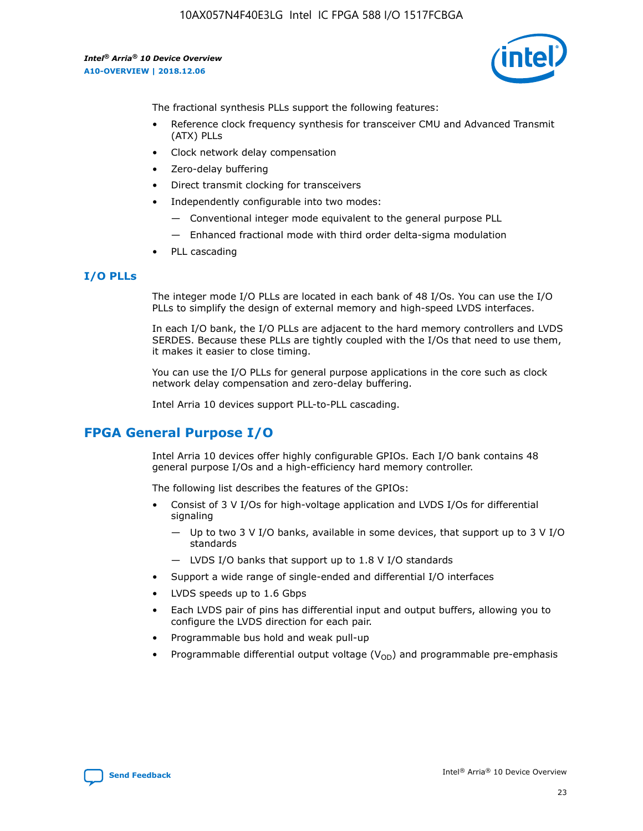

The fractional synthesis PLLs support the following features:

- Reference clock frequency synthesis for transceiver CMU and Advanced Transmit (ATX) PLLs
- Clock network delay compensation
- Zero-delay buffering
- Direct transmit clocking for transceivers
- Independently configurable into two modes:
	- Conventional integer mode equivalent to the general purpose PLL
	- Enhanced fractional mode with third order delta-sigma modulation
- PLL cascading

## **I/O PLLs**

The integer mode I/O PLLs are located in each bank of 48 I/Os. You can use the I/O PLLs to simplify the design of external memory and high-speed LVDS interfaces.

In each I/O bank, the I/O PLLs are adjacent to the hard memory controllers and LVDS SERDES. Because these PLLs are tightly coupled with the I/Os that need to use them, it makes it easier to close timing.

You can use the I/O PLLs for general purpose applications in the core such as clock network delay compensation and zero-delay buffering.

Intel Arria 10 devices support PLL-to-PLL cascading.

# **FPGA General Purpose I/O**

Intel Arria 10 devices offer highly configurable GPIOs. Each I/O bank contains 48 general purpose I/Os and a high-efficiency hard memory controller.

The following list describes the features of the GPIOs:

- Consist of 3 V I/Os for high-voltage application and LVDS I/Os for differential signaling
	- Up to two 3 V I/O banks, available in some devices, that support up to 3 V I/O standards
	- LVDS I/O banks that support up to 1.8 V I/O standards
- Support a wide range of single-ended and differential I/O interfaces
- LVDS speeds up to 1.6 Gbps
- Each LVDS pair of pins has differential input and output buffers, allowing you to configure the LVDS direction for each pair.
- Programmable bus hold and weak pull-up
- Programmable differential output voltage  $(V_{OD})$  and programmable pre-emphasis

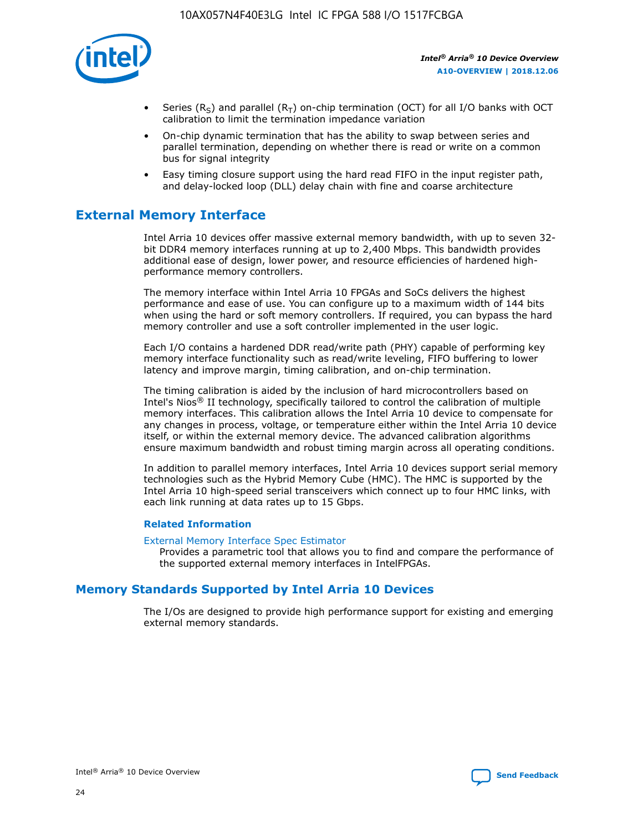

- Series (R<sub>S</sub>) and parallel (R<sub>T</sub>) on-chip termination (OCT) for all I/O banks with OCT calibration to limit the termination impedance variation
- On-chip dynamic termination that has the ability to swap between series and parallel termination, depending on whether there is read or write on a common bus for signal integrity
- Easy timing closure support using the hard read FIFO in the input register path, and delay-locked loop (DLL) delay chain with fine and coarse architecture

# **External Memory Interface**

Intel Arria 10 devices offer massive external memory bandwidth, with up to seven 32 bit DDR4 memory interfaces running at up to 2,400 Mbps. This bandwidth provides additional ease of design, lower power, and resource efficiencies of hardened highperformance memory controllers.

The memory interface within Intel Arria 10 FPGAs and SoCs delivers the highest performance and ease of use. You can configure up to a maximum width of 144 bits when using the hard or soft memory controllers. If required, you can bypass the hard memory controller and use a soft controller implemented in the user logic.

Each I/O contains a hardened DDR read/write path (PHY) capable of performing key memory interface functionality such as read/write leveling, FIFO buffering to lower latency and improve margin, timing calibration, and on-chip termination.

The timing calibration is aided by the inclusion of hard microcontrollers based on Intel's Nios® II technology, specifically tailored to control the calibration of multiple memory interfaces. This calibration allows the Intel Arria 10 device to compensate for any changes in process, voltage, or temperature either within the Intel Arria 10 device itself, or within the external memory device. The advanced calibration algorithms ensure maximum bandwidth and robust timing margin across all operating conditions.

In addition to parallel memory interfaces, Intel Arria 10 devices support serial memory technologies such as the Hybrid Memory Cube (HMC). The HMC is supported by the Intel Arria 10 high-speed serial transceivers which connect up to four HMC links, with each link running at data rates up to 15 Gbps.

#### **Related Information**

#### [External Memory Interface Spec Estimator](http://www.altera.com/technology/memory/estimator/mem-emif-index.html)

Provides a parametric tool that allows you to find and compare the performance of the supported external memory interfaces in IntelFPGAs.

## **Memory Standards Supported by Intel Arria 10 Devices**

The I/Os are designed to provide high performance support for existing and emerging external memory standards.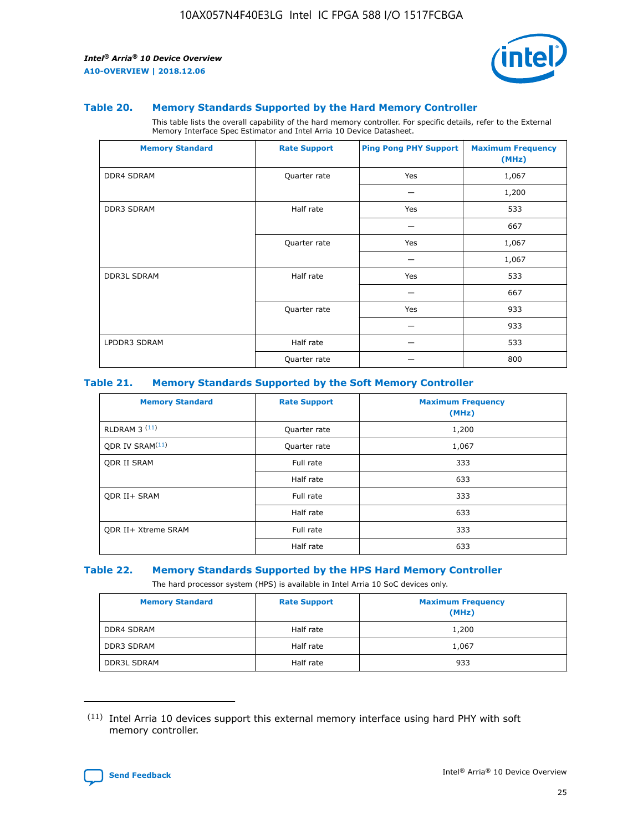

#### **Table 20. Memory Standards Supported by the Hard Memory Controller**

This table lists the overall capability of the hard memory controller. For specific details, refer to the External Memory Interface Spec Estimator and Intel Arria 10 Device Datasheet.

| <b>Memory Standard</b> | <b>Rate Support</b> | <b>Ping Pong PHY Support</b> | <b>Maximum Frequency</b><br>(MHz) |
|------------------------|---------------------|------------------------------|-----------------------------------|
| <b>DDR4 SDRAM</b>      | Quarter rate        | Yes                          | 1,067                             |
|                        |                     |                              | 1,200                             |
| DDR3 SDRAM             | Half rate           | Yes                          | 533                               |
|                        |                     |                              | 667                               |
|                        | Quarter rate        | Yes                          | 1,067                             |
|                        |                     |                              | 1,067                             |
| <b>DDR3L SDRAM</b>     | Half rate           | Yes                          | 533                               |
|                        |                     |                              | 667                               |
|                        | Quarter rate        | Yes                          | 933                               |
|                        |                     |                              | 933                               |
| LPDDR3 SDRAM           | Half rate           |                              | 533                               |
|                        | Quarter rate        |                              | 800                               |

#### **Table 21. Memory Standards Supported by the Soft Memory Controller**

| <b>Memory Standard</b>      | <b>Rate Support</b> | <b>Maximum Frequency</b><br>(MHz) |
|-----------------------------|---------------------|-----------------------------------|
| <b>RLDRAM 3 (11)</b>        | Quarter rate        | 1,200                             |
| ODR IV SRAM <sup>(11)</sup> | Quarter rate        | 1,067                             |
| <b>ODR II SRAM</b>          | Full rate           | 333                               |
|                             | Half rate           | 633                               |
| <b>ODR II+ SRAM</b>         | Full rate           | 333                               |
|                             | Half rate           | 633                               |
| <b>ODR II+ Xtreme SRAM</b>  | Full rate           | 333                               |
|                             | Half rate           | 633                               |

#### **Table 22. Memory Standards Supported by the HPS Hard Memory Controller**

The hard processor system (HPS) is available in Intel Arria 10 SoC devices only.

| <b>Memory Standard</b> | <b>Rate Support</b> | <b>Maximum Frequency</b><br>(MHz) |
|------------------------|---------------------|-----------------------------------|
| <b>DDR4 SDRAM</b>      | Half rate           | 1,200                             |
| <b>DDR3 SDRAM</b>      | Half rate           | 1,067                             |
| <b>DDR3L SDRAM</b>     | Half rate           | 933                               |

<sup>(11)</sup> Intel Arria 10 devices support this external memory interface using hard PHY with soft memory controller.

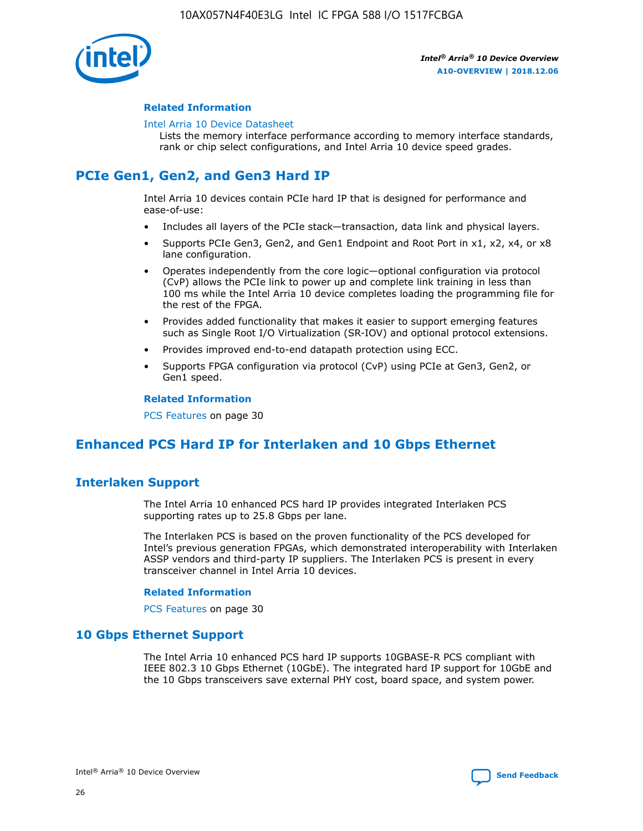

#### **Related Information**

#### [Intel Arria 10 Device Datasheet](https://www.intel.com/content/www/us/en/programmable/documentation/mcn1413182292568.html#mcn1413182153340)

Lists the memory interface performance according to memory interface standards, rank or chip select configurations, and Intel Arria 10 device speed grades.

# **PCIe Gen1, Gen2, and Gen3 Hard IP**

Intel Arria 10 devices contain PCIe hard IP that is designed for performance and ease-of-use:

- Includes all layers of the PCIe stack—transaction, data link and physical layers.
- Supports PCIe Gen3, Gen2, and Gen1 Endpoint and Root Port in x1, x2, x4, or x8 lane configuration.
- Operates independently from the core logic—optional configuration via protocol (CvP) allows the PCIe link to power up and complete link training in less than 100 ms while the Intel Arria 10 device completes loading the programming file for the rest of the FPGA.
- Provides added functionality that makes it easier to support emerging features such as Single Root I/O Virtualization (SR-IOV) and optional protocol extensions.
- Provides improved end-to-end datapath protection using ECC.
- Supports FPGA configuration via protocol (CvP) using PCIe at Gen3, Gen2, or Gen1 speed.

#### **Related Information**

PCS Features on page 30

# **Enhanced PCS Hard IP for Interlaken and 10 Gbps Ethernet**

## **Interlaken Support**

The Intel Arria 10 enhanced PCS hard IP provides integrated Interlaken PCS supporting rates up to 25.8 Gbps per lane.

The Interlaken PCS is based on the proven functionality of the PCS developed for Intel's previous generation FPGAs, which demonstrated interoperability with Interlaken ASSP vendors and third-party IP suppliers. The Interlaken PCS is present in every transceiver channel in Intel Arria 10 devices.

#### **Related Information**

PCS Features on page 30

## **10 Gbps Ethernet Support**

The Intel Arria 10 enhanced PCS hard IP supports 10GBASE-R PCS compliant with IEEE 802.3 10 Gbps Ethernet (10GbE). The integrated hard IP support for 10GbE and the 10 Gbps transceivers save external PHY cost, board space, and system power.

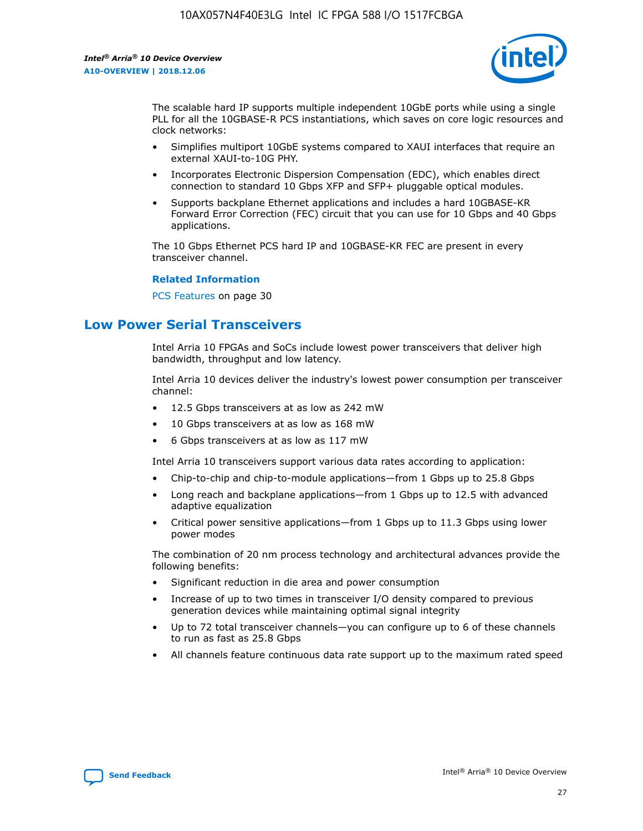

The scalable hard IP supports multiple independent 10GbE ports while using a single PLL for all the 10GBASE-R PCS instantiations, which saves on core logic resources and clock networks:

- Simplifies multiport 10GbE systems compared to XAUI interfaces that require an external XAUI-to-10G PHY.
- Incorporates Electronic Dispersion Compensation (EDC), which enables direct connection to standard 10 Gbps XFP and SFP+ pluggable optical modules.
- Supports backplane Ethernet applications and includes a hard 10GBASE-KR Forward Error Correction (FEC) circuit that you can use for 10 Gbps and 40 Gbps applications.

The 10 Gbps Ethernet PCS hard IP and 10GBASE-KR FEC are present in every transceiver channel.

#### **Related Information**

PCS Features on page 30

# **Low Power Serial Transceivers**

Intel Arria 10 FPGAs and SoCs include lowest power transceivers that deliver high bandwidth, throughput and low latency.

Intel Arria 10 devices deliver the industry's lowest power consumption per transceiver channel:

- 12.5 Gbps transceivers at as low as 242 mW
- 10 Gbps transceivers at as low as 168 mW
- 6 Gbps transceivers at as low as 117 mW

Intel Arria 10 transceivers support various data rates according to application:

- Chip-to-chip and chip-to-module applications—from 1 Gbps up to 25.8 Gbps
- Long reach and backplane applications—from 1 Gbps up to 12.5 with advanced adaptive equalization
- Critical power sensitive applications—from 1 Gbps up to 11.3 Gbps using lower power modes

The combination of 20 nm process technology and architectural advances provide the following benefits:

- Significant reduction in die area and power consumption
- Increase of up to two times in transceiver I/O density compared to previous generation devices while maintaining optimal signal integrity
- Up to 72 total transceiver channels—you can configure up to 6 of these channels to run as fast as 25.8 Gbps
- All channels feature continuous data rate support up to the maximum rated speed

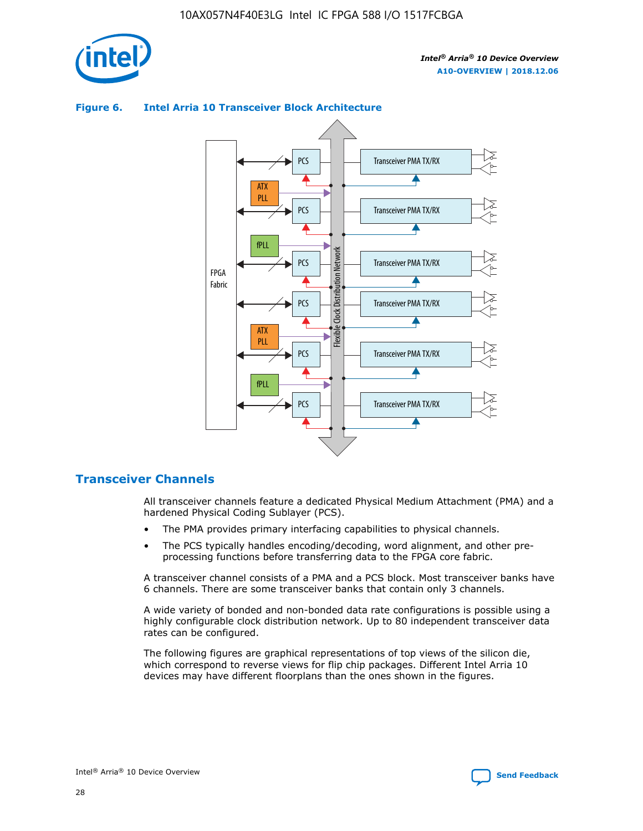

## Transceiver PMA TX/RX PCS ATX PLL Transceiver PMA TX/RX PCS fPLL Network Flexible Clock Distribution Network PCS Transceiver PMA TX/RX FPGA **Clock Distribution** Fabric PCS Transceiver PMA TX/RX ATX Flexible PLL PCS Transceiver PMA TX/RX ▲ fPLL Transceiver PMA TX/RX PCS 4

## **Figure 6. Intel Arria 10 Transceiver Block Architecture**

## **Transceiver Channels**

All transceiver channels feature a dedicated Physical Medium Attachment (PMA) and a hardened Physical Coding Sublayer (PCS).

- The PMA provides primary interfacing capabilities to physical channels.
- The PCS typically handles encoding/decoding, word alignment, and other preprocessing functions before transferring data to the FPGA core fabric.

A transceiver channel consists of a PMA and a PCS block. Most transceiver banks have 6 channels. There are some transceiver banks that contain only 3 channels.

A wide variety of bonded and non-bonded data rate configurations is possible using a highly configurable clock distribution network. Up to 80 independent transceiver data rates can be configured.

The following figures are graphical representations of top views of the silicon die, which correspond to reverse views for flip chip packages. Different Intel Arria 10 devices may have different floorplans than the ones shown in the figures.

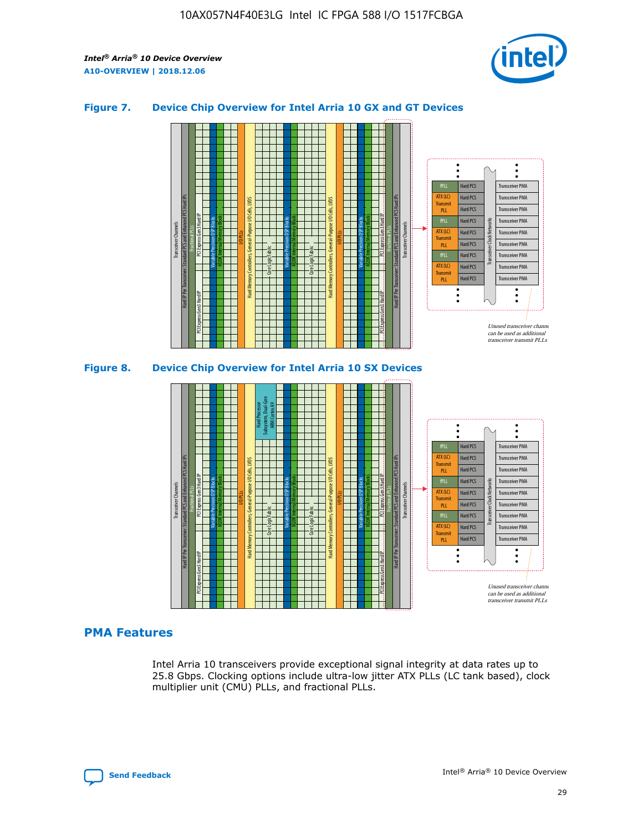

## **Figure 7. Device Chip Overview for Intel Arria 10 GX and GT Devices**





## **PMA Features**

Intel Arria 10 transceivers provide exceptional signal integrity at data rates up to 25.8 Gbps. Clocking options include ultra-low jitter ATX PLLs (LC tank based), clock multiplier unit (CMU) PLLs, and fractional PLLs.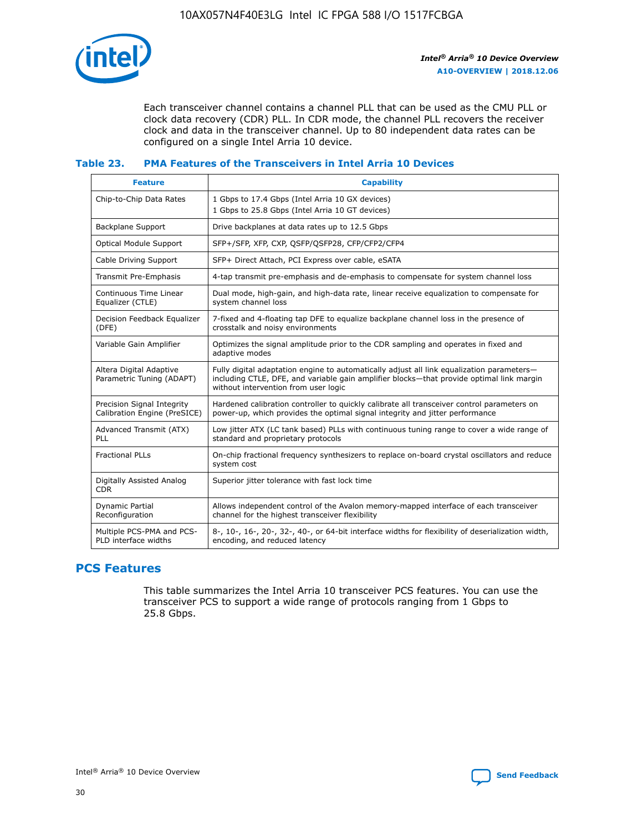

Each transceiver channel contains a channel PLL that can be used as the CMU PLL or clock data recovery (CDR) PLL. In CDR mode, the channel PLL recovers the receiver clock and data in the transceiver channel. Up to 80 independent data rates can be configured on a single Intel Arria 10 device.

## **Table 23. PMA Features of the Transceivers in Intel Arria 10 Devices**

| <b>Feature</b>                                             | <b>Capability</b>                                                                                                                                                                                                             |
|------------------------------------------------------------|-------------------------------------------------------------------------------------------------------------------------------------------------------------------------------------------------------------------------------|
| Chip-to-Chip Data Rates                                    | 1 Gbps to 17.4 Gbps (Intel Arria 10 GX devices)<br>1 Gbps to 25.8 Gbps (Intel Arria 10 GT devices)                                                                                                                            |
| <b>Backplane Support</b>                                   | Drive backplanes at data rates up to 12.5 Gbps                                                                                                                                                                                |
| Optical Module Support                                     | SFP+/SFP, XFP, CXP, QSFP/QSFP28, CFP/CFP2/CFP4                                                                                                                                                                                |
| Cable Driving Support                                      | SFP+ Direct Attach, PCI Express over cable, eSATA                                                                                                                                                                             |
| Transmit Pre-Emphasis                                      | 4-tap transmit pre-emphasis and de-emphasis to compensate for system channel loss                                                                                                                                             |
| Continuous Time Linear<br>Equalizer (CTLE)                 | Dual mode, high-gain, and high-data rate, linear receive equalization to compensate for<br>system channel loss                                                                                                                |
| Decision Feedback Equalizer<br>(DFE)                       | 7-fixed and 4-floating tap DFE to equalize backplane channel loss in the presence of<br>crosstalk and noisy environments                                                                                                      |
| Variable Gain Amplifier                                    | Optimizes the signal amplitude prior to the CDR sampling and operates in fixed and<br>adaptive modes                                                                                                                          |
| Altera Digital Adaptive<br>Parametric Tuning (ADAPT)       | Fully digital adaptation engine to automatically adjust all link equalization parameters-<br>including CTLE, DFE, and variable gain amplifier blocks—that provide optimal link margin<br>without intervention from user logic |
| Precision Signal Integrity<br>Calibration Engine (PreSICE) | Hardened calibration controller to quickly calibrate all transceiver control parameters on<br>power-up, which provides the optimal signal integrity and jitter performance                                                    |
| Advanced Transmit (ATX)<br>PLL                             | Low jitter ATX (LC tank based) PLLs with continuous tuning range to cover a wide range of<br>standard and proprietary protocols                                                                                               |
| <b>Fractional PLLs</b>                                     | On-chip fractional frequency synthesizers to replace on-board crystal oscillators and reduce<br>system cost                                                                                                                   |
| Digitally Assisted Analog<br><b>CDR</b>                    | Superior jitter tolerance with fast lock time                                                                                                                                                                                 |
| Dynamic Partial<br>Reconfiguration                         | Allows independent control of the Avalon memory-mapped interface of each transceiver<br>channel for the highest transceiver flexibility                                                                                       |
| Multiple PCS-PMA and PCS-<br>PLD interface widths          | 8-, 10-, 16-, 20-, 32-, 40-, or 64-bit interface widths for flexibility of deserialization width,<br>encoding, and reduced latency                                                                                            |

## **PCS Features**

This table summarizes the Intel Arria 10 transceiver PCS features. You can use the transceiver PCS to support a wide range of protocols ranging from 1 Gbps to 25.8 Gbps.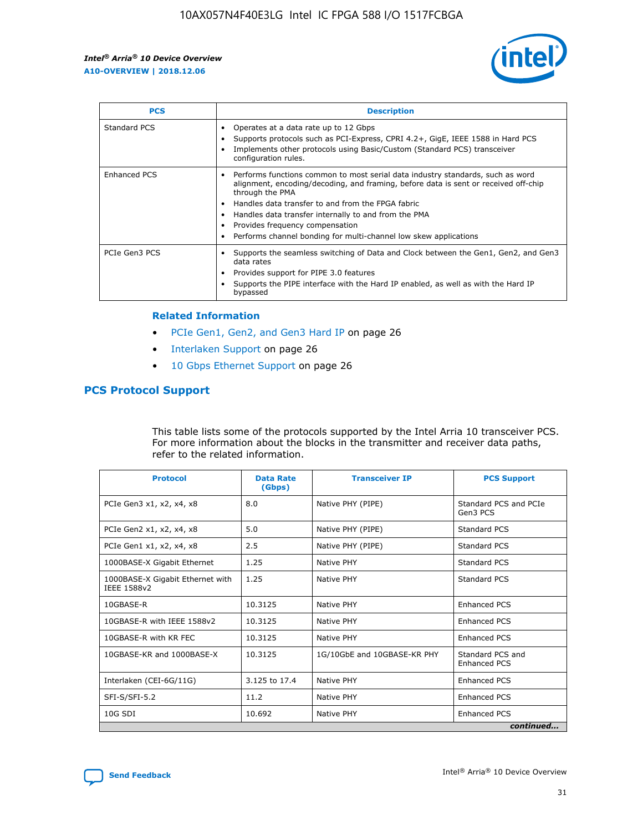

| <b>PCS</b>    | <b>Description</b>                                                                                                                                                                                                                                                                                                                                                                                             |
|---------------|----------------------------------------------------------------------------------------------------------------------------------------------------------------------------------------------------------------------------------------------------------------------------------------------------------------------------------------------------------------------------------------------------------------|
| Standard PCS  | Operates at a data rate up to 12 Gbps<br>Supports protocols such as PCI-Express, CPRI 4.2+, GigE, IEEE 1588 in Hard PCS<br>Implements other protocols using Basic/Custom (Standard PCS) transceiver<br>configuration rules.                                                                                                                                                                                    |
| Enhanced PCS  | Performs functions common to most serial data industry standards, such as word<br>alignment, encoding/decoding, and framing, before data is sent or received off-chip<br>through the PMA<br>• Handles data transfer to and from the FPGA fabric<br>Handles data transfer internally to and from the PMA<br>Provides frequency compensation<br>Performs channel bonding for multi-channel low skew applications |
| PCIe Gen3 PCS | Supports the seamless switching of Data and Clock between the Gen1, Gen2, and Gen3<br>data rates<br>Provides support for PIPE 3.0 features<br>Supports the PIPE interface with the Hard IP enabled, as well as with the Hard IP<br>bypassed                                                                                                                                                                    |

#### **Related Information**

- PCIe Gen1, Gen2, and Gen3 Hard IP on page 26
- Interlaken Support on page 26
- 10 Gbps Ethernet Support on page 26

## **PCS Protocol Support**

This table lists some of the protocols supported by the Intel Arria 10 transceiver PCS. For more information about the blocks in the transmitter and receiver data paths, refer to the related information.

| <b>Protocol</b>                                 | <b>Data Rate</b><br>(Gbps) | <b>Transceiver IP</b>       | <b>PCS Support</b>                      |
|-------------------------------------------------|----------------------------|-----------------------------|-----------------------------------------|
| PCIe Gen3 x1, x2, x4, x8                        | 8.0                        | Native PHY (PIPE)           | Standard PCS and PCIe<br>Gen3 PCS       |
| PCIe Gen2 x1, x2, x4, x8                        | 5.0                        | Native PHY (PIPE)           | <b>Standard PCS</b>                     |
| PCIe Gen1 x1, x2, x4, x8                        | 2.5                        | Native PHY (PIPE)           | Standard PCS                            |
| 1000BASE-X Gigabit Ethernet                     | 1.25                       | Native PHY                  | <b>Standard PCS</b>                     |
| 1000BASE-X Gigabit Ethernet with<br>IEEE 1588v2 | 1.25                       | Native PHY                  | Standard PCS                            |
| 10GBASE-R                                       | 10.3125                    | Native PHY                  | <b>Enhanced PCS</b>                     |
| 10GBASE-R with IEEE 1588v2                      | 10.3125                    | Native PHY                  | <b>Enhanced PCS</b>                     |
| 10GBASE-R with KR FEC                           | 10.3125                    | Native PHY                  | <b>Enhanced PCS</b>                     |
| 10GBASE-KR and 1000BASE-X                       | 10.3125                    | 1G/10GbE and 10GBASE-KR PHY | Standard PCS and<br><b>Enhanced PCS</b> |
| Interlaken (CEI-6G/11G)                         | 3.125 to 17.4              | Native PHY                  | <b>Enhanced PCS</b>                     |
| SFI-S/SFI-5.2                                   | 11.2                       | Native PHY                  | <b>Enhanced PCS</b>                     |
| $10G$ SDI                                       | 10.692                     | Native PHY                  | <b>Enhanced PCS</b>                     |
|                                                 |                            |                             | continued                               |

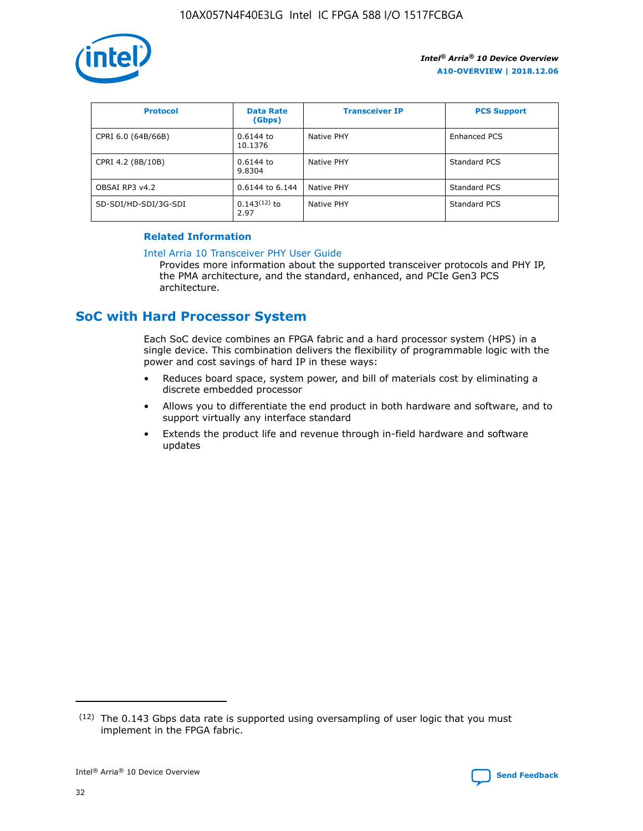

| <b>Protocol</b>      | <b>Data Rate</b><br>(Gbps) | <b>Transceiver IP</b> | <b>PCS Support</b> |
|----------------------|----------------------------|-----------------------|--------------------|
| CPRI 6.0 (64B/66B)   | 0.6144 to<br>10.1376       | Native PHY            | Enhanced PCS       |
| CPRI 4.2 (8B/10B)    | 0.6144 to<br>9.8304        | Native PHY            | Standard PCS       |
| OBSAI RP3 v4.2       | 0.6144 to 6.144            | Native PHY            | Standard PCS       |
| SD-SDI/HD-SDI/3G-SDI | $0.143(12)$ to<br>2.97     | Native PHY            | Standard PCS       |

## **Related Information**

#### [Intel Arria 10 Transceiver PHY User Guide](https://www.intel.com/content/www/us/en/programmable/documentation/nik1398707230472.html#nik1398707091164)

Provides more information about the supported transceiver protocols and PHY IP, the PMA architecture, and the standard, enhanced, and PCIe Gen3 PCS architecture.

# **SoC with Hard Processor System**

Each SoC device combines an FPGA fabric and a hard processor system (HPS) in a single device. This combination delivers the flexibility of programmable logic with the power and cost savings of hard IP in these ways:

- Reduces board space, system power, and bill of materials cost by eliminating a discrete embedded processor
- Allows you to differentiate the end product in both hardware and software, and to support virtually any interface standard
- Extends the product life and revenue through in-field hardware and software updates

 $(12)$  The 0.143 Gbps data rate is supported using oversampling of user logic that you must implement in the FPGA fabric.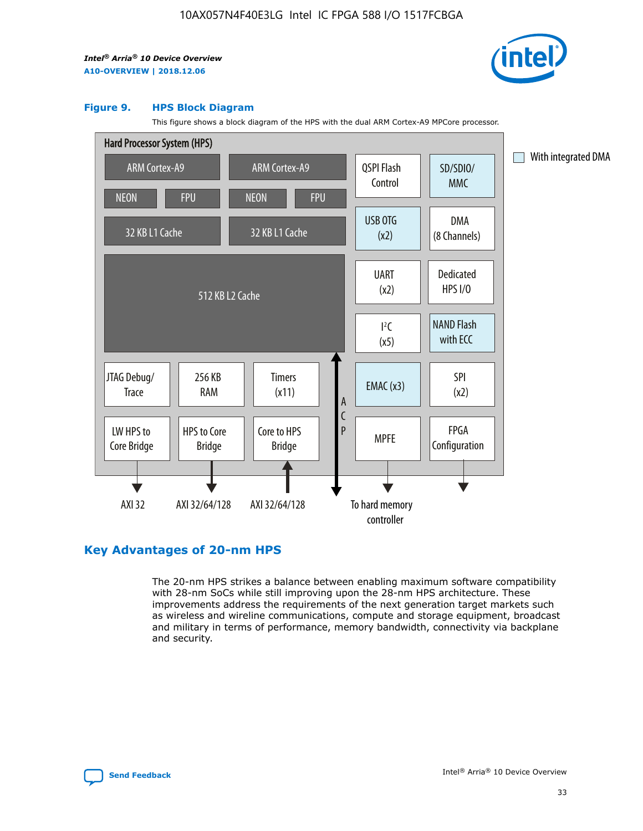

#### **Figure 9. HPS Block Diagram**

This figure shows a block diagram of the HPS with the dual ARM Cortex-A9 MPCore processor.



## **Key Advantages of 20-nm HPS**

The 20-nm HPS strikes a balance between enabling maximum software compatibility with 28-nm SoCs while still improving upon the 28-nm HPS architecture. These improvements address the requirements of the next generation target markets such as wireless and wireline communications, compute and storage equipment, broadcast and military in terms of performance, memory bandwidth, connectivity via backplane and security.

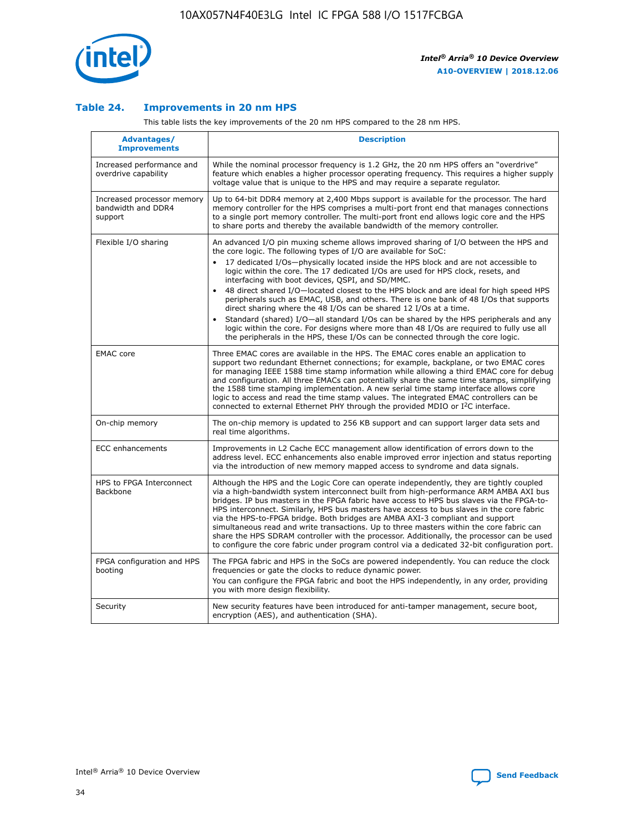

## **Table 24. Improvements in 20 nm HPS**

This table lists the key improvements of the 20 nm HPS compared to the 28 nm HPS.

| Advantages/<br><b>Improvements</b>                          | <b>Description</b>                                                                                                                                                                                                                                                                                                                                                                                                                                                                                                                                                                                                                                                                                                                                     |
|-------------------------------------------------------------|--------------------------------------------------------------------------------------------------------------------------------------------------------------------------------------------------------------------------------------------------------------------------------------------------------------------------------------------------------------------------------------------------------------------------------------------------------------------------------------------------------------------------------------------------------------------------------------------------------------------------------------------------------------------------------------------------------------------------------------------------------|
| Increased performance and<br>overdrive capability           | While the nominal processor frequency is 1.2 GHz, the 20 nm HPS offers an "overdrive"<br>feature which enables a higher processor operating frequency. This requires a higher supply<br>voltage value that is unique to the HPS and may require a separate regulator.                                                                                                                                                                                                                                                                                                                                                                                                                                                                                  |
| Increased processor memory<br>bandwidth and DDR4<br>support | Up to 64-bit DDR4 memory at 2,400 Mbps support is available for the processor. The hard<br>memory controller for the HPS comprises a multi-port front end that manages connections<br>to a single port memory controller. The multi-port front end allows logic core and the HPS<br>to share ports and thereby the available bandwidth of the memory controller.                                                                                                                                                                                                                                                                                                                                                                                       |
| Flexible I/O sharing                                        | An advanced I/O pin muxing scheme allows improved sharing of I/O between the HPS and<br>the core logic. The following types of I/O are available for SoC:<br>17 dedicated I/Os-physically located inside the HPS block and are not accessible to<br>logic within the core. The 17 dedicated I/Os are used for HPS clock, resets, and<br>interfacing with boot devices, QSPI, and SD/MMC.<br>48 direct shared I/O-located closest to the HPS block and are ideal for high speed HPS<br>$\bullet$<br>peripherals such as EMAC, USB, and others. There is one bank of 48 I/Os that supports<br>direct sharing where the 48 I/Os can be shared 12 I/Os at a time.                                                                                          |
|                                                             | Standard (shared) I/O-all standard I/Os can be shared by the HPS peripherals and any<br>logic within the core. For designs where more than 48 I/Os are required to fully use all<br>the peripherals in the HPS, these I/Os can be connected through the core logic.                                                                                                                                                                                                                                                                                                                                                                                                                                                                                    |
| <b>EMAC</b> core                                            | Three EMAC cores are available in the HPS. The EMAC cores enable an application to<br>support two redundant Ethernet connections; for example, backplane, or two EMAC cores<br>for managing IEEE 1588 time stamp information while allowing a third EMAC core for debug<br>and configuration. All three EMACs can potentially share the same time stamps, simplifying<br>the 1588 time stamping implementation. A new serial time stamp interface allows core<br>logic to access and read the time stamp values. The integrated EMAC controllers can be<br>connected to external Ethernet PHY through the provided MDIO or I <sup>2</sup> C interface.                                                                                                 |
| On-chip memory                                              | The on-chip memory is updated to 256 KB support and can support larger data sets and<br>real time algorithms.                                                                                                                                                                                                                                                                                                                                                                                                                                                                                                                                                                                                                                          |
| <b>ECC</b> enhancements                                     | Improvements in L2 Cache ECC management allow identification of errors down to the<br>address level. ECC enhancements also enable improved error injection and status reporting<br>via the introduction of new memory mapped access to syndrome and data signals.                                                                                                                                                                                                                                                                                                                                                                                                                                                                                      |
| HPS to FPGA Interconnect<br><b>Backbone</b>                 | Although the HPS and the Logic Core can operate independently, they are tightly coupled<br>via a high-bandwidth system interconnect built from high-performance ARM AMBA AXI bus<br>bridges. IP bus masters in the FPGA fabric have access to HPS bus slaves via the FPGA-to-<br>HPS interconnect. Similarly, HPS bus masters have access to bus slaves in the core fabric<br>via the HPS-to-FPGA bridge. Both bridges are AMBA AXI-3 compliant and support<br>simultaneous read and write transactions. Up to three masters within the core fabric can<br>share the HPS SDRAM controller with the processor. Additionally, the processor can be used<br>to configure the core fabric under program control via a dedicated 32-bit configuration port. |
| FPGA configuration and HPS<br>booting                       | The FPGA fabric and HPS in the SoCs are powered independently. You can reduce the clock<br>frequencies or gate the clocks to reduce dynamic power.<br>You can configure the FPGA fabric and boot the HPS independently, in any order, providing<br>you with more design flexibility.                                                                                                                                                                                                                                                                                                                                                                                                                                                                   |
| Security                                                    | New security features have been introduced for anti-tamper management, secure boot,<br>encryption (AES), and authentication (SHA).                                                                                                                                                                                                                                                                                                                                                                                                                                                                                                                                                                                                                     |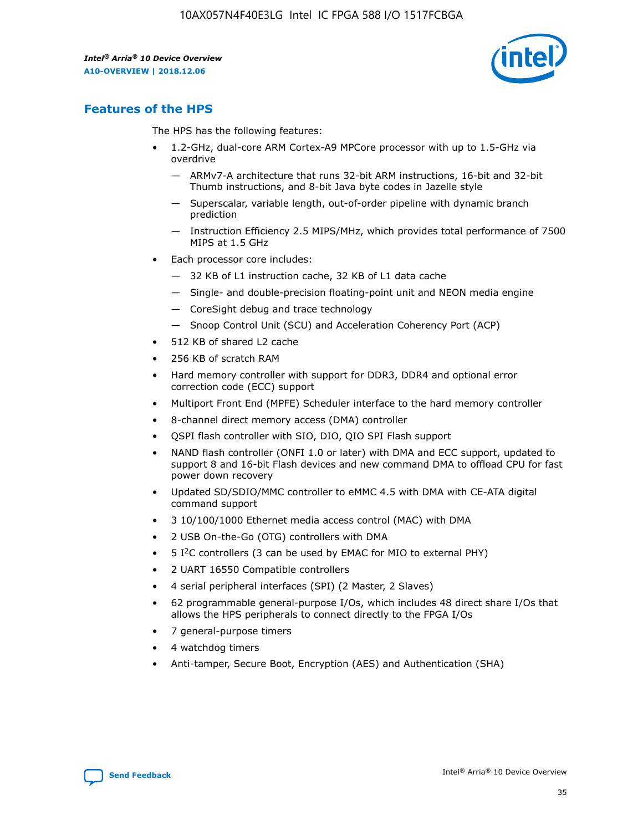

## **Features of the HPS**

The HPS has the following features:

- 1.2-GHz, dual-core ARM Cortex-A9 MPCore processor with up to 1.5-GHz via overdrive
	- ARMv7-A architecture that runs 32-bit ARM instructions, 16-bit and 32-bit Thumb instructions, and 8-bit Java byte codes in Jazelle style
	- Superscalar, variable length, out-of-order pipeline with dynamic branch prediction
	- Instruction Efficiency 2.5 MIPS/MHz, which provides total performance of 7500 MIPS at 1.5 GHz
- Each processor core includes:
	- 32 KB of L1 instruction cache, 32 KB of L1 data cache
	- Single- and double-precision floating-point unit and NEON media engine
	- CoreSight debug and trace technology
	- Snoop Control Unit (SCU) and Acceleration Coherency Port (ACP)
- 512 KB of shared L2 cache
- 256 KB of scratch RAM
- Hard memory controller with support for DDR3, DDR4 and optional error correction code (ECC) support
- Multiport Front End (MPFE) Scheduler interface to the hard memory controller
- 8-channel direct memory access (DMA) controller
- QSPI flash controller with SIO, DIO, QIO SPI Flash support
- NAND flash controller (ONFI 1.0 or later) with DMA and ECC support, updated to support 8 and 16-bit Flash devices and new command DMA to offload CPU for fast power down recovery
- Updated SD/SDIO/MMC controller to eMMC 4.5 with DMA with CE-ATA digital command support
- 3 10/100/1000 Ethernet media access control (MAC) with DMA
- 2 USB On-the-Go (OTG) controllers with DMA
- $\bullet$  5 I<sup>2</sup>C controllers (3 can be used by EMAC for MIO to external PHY)
- 2 UART 16550 Compatible controllers
- 4 serial peripheral interfaces (SPI) (2 Master, 2 Slaves)
- 62 programmable general-purpose I/Os, which includes 48 direct share I/Os that allows the HPS peripherals to connect directly to the FPGA I/Os
- 7 general-purpose timers
- 4 watchdog timers
- Anti-tamper, Secure Boot, Encryption (AES) and Authentication (SHA)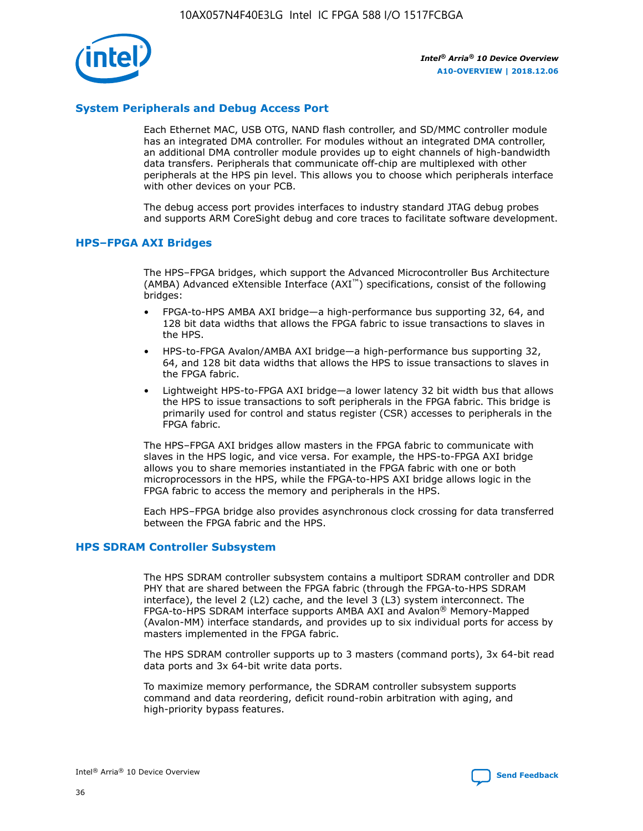

## **System Peripherals and Debug Access Port**

Each Ethernet MAC, USB OTG, NAND flash controller, and SD/MMC controller module has an integrated DMA controller. For modules without an integrated DMA controller, an additional DMA controller module provides up to eight channels of high-bandwidth data transfers. Peripherals that communicate off-chip are multiplexed with other peripherals at the HPS pin level. This allows you to choose which peripherals interface with other devices on your PCB.

The debug access port provides interfaces to industry standard JTAG debug probes and supports ARM CoreSight debug and core traces to facilitate software development.

## **HPS–FPGA AXI Bridges**

The HPS–FPGA bridges, which support the Advanced Microcontroller Bus Architecture (AMBA) Advanced eXtensible Interface (AXI™) specifications, consist of the following bridges:

- FPGA-to-HPS AMBA AXI bridge—a high-performance bus supporting 32, 64, and 128 bit data widths that allows the FPGA fabric to issue transactions to slaves in the HPS.
- HPS-to-FPGA Avalon/AMBA AXI bridge—a high-performance bus supporting 32, 64, and 128 bit data widths that allows the HPS to issue transactions to slaves in the FPGA fabric.
- Lightweight HPS-to-FPGA AXI bridge—a lower latency 32 bit width bus that allows the HPS to issue transactions to soft peripherals in the FPGA fabric. This bridge is primarily used for control and status register (CSR) accesses to peripherals in the FPGA fabric.

The HPS–FPGA AXI bridges allow masters in the FPGA fabric to communicate with slaves in the HPS logic, and vice versa. For example, the HPS-to-FPGA AXI bridge allows you to share memories instantiated in the FPGA fabric with one or both microprocessors in the HPS, while the FPGA-to-HPS AXI bridge allows logic in the FPGA fabric to access the memory and peripherals in the HPS.

Each HPS–FPGA bridge also provides asynchronous clock crossing for data transferred between the FPGA fabric and the HPS.

#### **HPS SDRAM Controller Subsystem**

The HPS SDRAM controller subsystem contains a multiport SDRAM controller and DDR PHY that are shared between the FPGA fabric (through the FPGA-to-HPS SDRAM interface), the level 2 (L2) cache, and the level 3 (L3) system interconnect. The FPGA-to-HPS SDRAM interface supports AMBA AXI and Avalon® Memory-Mapped (Avalon-MM) interface standards, and provides up to six individual ports for access by masters implemented in the FPGA fabric.

The HPS SDRAM controller supports up to 3 masters (command ports), 3x 64-bit read data ports and 3x 64-bit write data ports.

To maximize memory performance, the SDRAM controller subsystem supports command and data reordering, deficit round-robin arbitration with aging, and high-priority bypass features.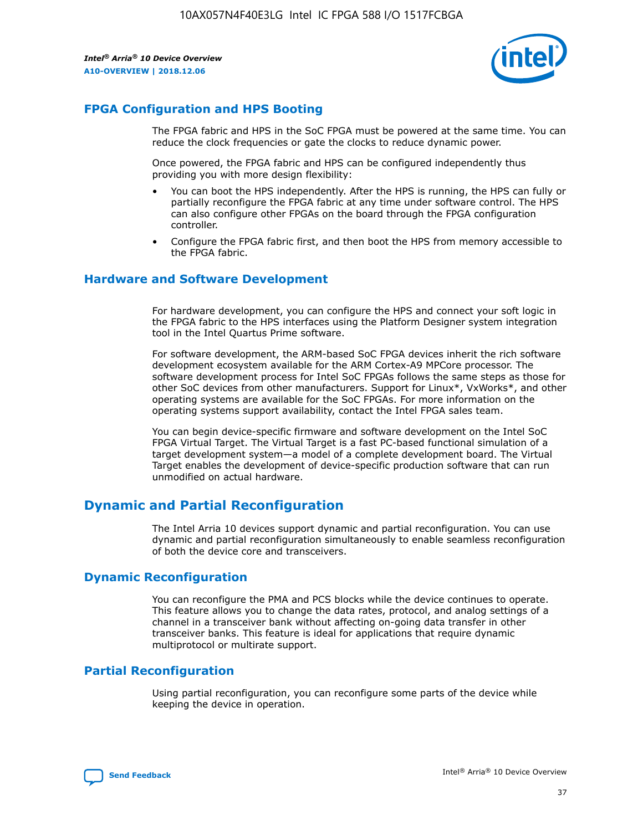

## **FPGA Configuration and HPS Booting**

The FPGA fabric and HPS in the SoC FPGA must be powered at the same time. You can reduce the clock frequencies or gate the clocks to reduce dynamic power.

Once powered, the FPGA fabric and HPS can be configured independently thus providing you with more design flexibility:

- You can boot the HPS independently. After the HPS is running, the HPS can fully or partially reconfigure the FPGA fabric at any time under software control. The HPS can also configure other FPGAs on the board through the FPGA configuration controller.
- Configure the FPGA fabric first, and then boot the HPS from memory accessible to the FPGA fabric.

## **Hardware and Software Development**

For hardware development, you can configure the HPS and connect your soft logic in the FPGA fabric to the HPS interfaces using the Platform Designer system integration tool in the Intel Quartus Prime software.

For software development, the ARM-based SoC FPGA devices inherit the rich software development ecosystem available for the ARM Cortex-A9 MPCore processor. The software development process for Intel SoC FPGAs follows the same steps as those for other SoC devices from other manufacturers. Support for Linux\*, VxWorks\*, and other operating systems are available for the SoC FPGAs. For more information on the operating systems support availability, contact the Intel FPGA sales team.

You can begin device-specific firmware and software development on the Intel SoC FPGA Virtual Target. The Virtual Target is a fast PC-based functional simulation of a target development system—a model of a complete development board. The Virtual Target enables the development of device-specific production software that can run unmodified on actual hardware.

## **Dynamic and Partial Reconfiguration**

The Intel Arria 10 devices support dynamic and partial reconfiguration. You can use dynamic and partial reconfiguration simultaneously to enable seamless reconfiguration of both the device core and transceivers.

## **Dynamic Reconfiguration**

You can reconfigure the PMA and PCS blocks while the device continues to operate. This feature allows you to change the data rates, protocol, and analog settings of a channel in a transceiver bank without affecting on-going data transfer in other transceiver banks. This feature is ideal for applications that require dynamic multiprotocol or multirate support.

## **Partial Reconfiguration**

Using partial reconfiguration, you can reconfigure some parts of the device while keeping the device in operation.

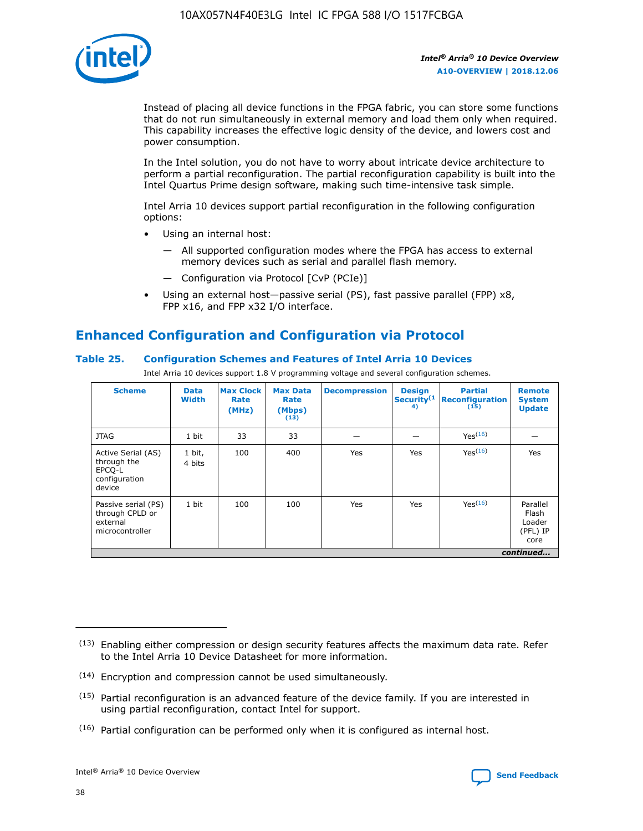

Instead of placing all device functions in the FPGA fabric, you can store some functions that do not run simultaneously in external memory and load them only when required. This capability increases the effective logic density of the device, and lowers cost and power consumption.

In the Intel solution, you do not have to worry about intricate device architecture to perform a partial reconfiguration. The partial reconfiguration capability is built into the Intel Quartus Prime design software, making such time-intensive task simple.

Intel Arria 10 devices support partial reconfiguration in the following configuration options:

- Using an internal host:
	- All supported configuration modes where the FPGA has access to external memory devices such as serial and parallel flash memory.
	- Configuration via Protocol [CvP (PCIe)]
- Using an external host—passive serial (PS), fast passive parallel (FPP) x8, FPP x16, and FPP x32 I/O interface.

# **Enhanced Configuration and Configuration via Protocol**

## **Table 25. Configuration Schemes and Features of Intel Arria 10 Devices**

Intel Arria 10 devices support 1.8 V programming voltage and several configuration schemes.

| <b>Scheme</b>                                                          | <b>Data</b><br><b>Width</b> | <b>Max Clock</b><br>Rate<br>(MHz) | <b>Max Data</b><br>Rate<br>(Mbps)<br>(13) | <b>Decompression</b> | <b>Design</b><br>Security <sup>(1</sup><br>4) | <b>Partial</b><br><b>Reconfiguration</b><br>(15) | <b>Remote</b><br><b>System</b><br><b>Update</b> |
|------------------------------------------------------------------------|-----------------------------|-----------------------------------|-------------------------------------------|----------------------|-----------------------------------------------|--------------------------------------------------|-------------------------------------------------|
| <b>JTAG</b>                                                            | 1 bit                       | 33                                | 33                                        |                      |                                               | Yes(16)                                          |                                                 |
| Active Serial (AS)<br>through the<br>EPCO-L<br>configuration<br>device | 1 bit,<br>4 bits            | 100                               | 400                                       | Yes                  | Yes                                           | $Y_{PS}(16)$                                     | Yes                                             |
| Passive serial (PS)<br>through CPLD or<br>external<br>microcontroller  | 1 bit                       | 100                               | 100                                       | Yes                  | Yes                                           | Yes(16)                                          | Parallel<br>Flash<br>Loader<br>(PFL) IP<br>core |
|                                                                        |                             |                                   |                                           |                      |                                               |                                                  | continued                                       |

<sup>(13)</sup> Enabling either compression or design security features affects the maximum data rate. Refer to the Intel Arria 10 Device Datasheet for more information.

<sup>(14)</sup> Encryption and compression cannot be used simultaneously.

 $(15)$  Partial reconfiguration is an advanced feature of the device family. If you are interested in using partial reconfiguration, contact Intel for support.

 $(16)$  Partial configuration can be performed only when it is configured as internal host.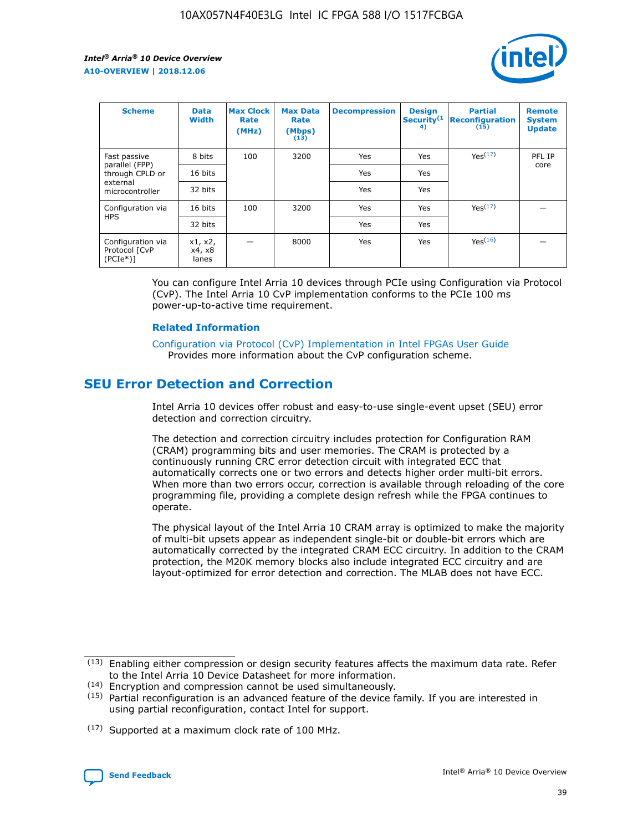

| <b>Scheme</b>                                    | <b>Data</b><br><b>Width</b> | <b>Max Clock</b><br>Rate<br>(MHz) | <b>Max Data</b><br>Rate<br>(Mbps)<br>(13) | <b>Decompression</b> | <b>Design</b><br>Security <sup>(1</sup><br>4) | <b>Partial</b><br><b>Reconfiguration</b><br>(15) | <b>Remote</b><br><b>System</b><br><b>Update</b> |
|--------------------------------------------------|-----------------------------|-----------------------------------|-------------------------------------------|----------------------|-----------------------------------------------|--------------------------------------------------|-------------------------------------------------|
| Fast passive                                     | 8 bits                      | 100                               | 3200                                      | Yes                  | Yes                                           | Yes(17)                                          | PFL IP                                          |
| parallel (FPP)<br>through CPLD or                | 16 bits                     |                                   |                                           | Yes                  | Yes                                           |                                                  | core                                            |
| external<br>microcontroller                      | 32 bits                     |                                   |                                           | Yes                  | Yes                                           |                                                  |                                                 |
| Configuration via                                | 16 bits                     | 100                               | 3200                                      | Yes                  | Yes                                           | Yes <sup>(17)</sup>                              |                                                 |
| <b>HPS</b>                                       | 32 bits                     |                                   |                                           | Yes                  | Yes                                           |                                                  |                                                 |
| Configuration via<br>Protocol [CvP<br>$(PCIe^*)$ | x1, x2,<br>x4, x8<br>lanes  |                                   | 8000                                      | Yes                  | Yes                                           | Yes(16)                                          |                                                 |

You can configure Intel Arria 10 devices through PCIe using Configuration via Protocol (CvP). The Intel Arria 10 CvP implementation conforms to the PCIe 100 ms power-up-to-active time requirement.

#### **Related Information**

[Configuration via Protocol \(CvP\) Implementation in Intel FPGAs User Guide](https://www.intel.com/content/www/us/en/programmable/documentation/dsu1441819344145.html#dsu1442269728522) Provides more information about the CvP configuration scheme.

# **SEU Error Detection and Correction**

Intel Arria 10 devices offer robust and easy-to-use single-event upset (SEU) error detection and correction circuitry.

The detection and correction circuitry includes protection for Configuration RAM (CRAM) programming bits and user memories. The CRAM is protected by a continuously running CRC error detection circuit with integrated ECC that automatically corrects one or two errors and detects higher order multi-bit errors. When more than two errors occur, correction is available through reloading of the core programming file, providing a complete design refresh while the FPGA continues to operate.

The physical layout of the Intel Arria 10 CRAM array is optimized to make the majority of multi-bit upsets appear as independent single-bit or double-bit errors which are automatically corrected by the integrated CRAM ECC circuitry. In addition to the CRAM protection, the M20K memory blocks also include integrated ECC circuitry and are layout-optimized for error detection and correction. The MLAB does not have ECC.

(14) Encryption and compression cannot be used simultaneously.

<sup>(17)</sup> Supported at a maximum clock rate of 100 MHz.



 $(13)$  Enabling either compression or design security features affects the maximum data rate. Refer to the Intel Arria 10 Device Datasheet for more information.

 $(15)$  Partial reconfiguration is an advanced feature of the device family. If you are interested in using partial reconfiguration, contact Intel for support.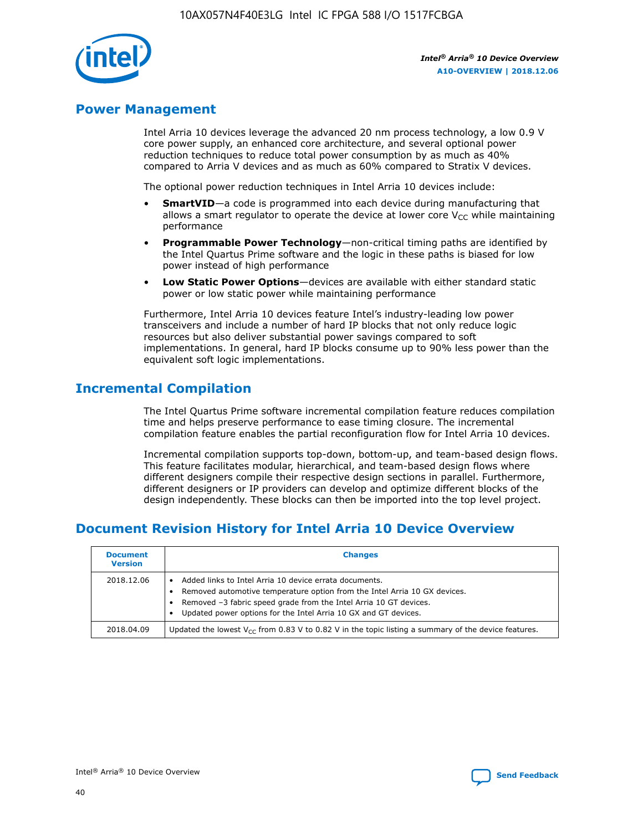

## **Power Management**

Intel Arria 10 devices leverage the advanced 20 nm process technology, a low 0.9 V core power supply, an enhanced core architecture, and several optional power reduction techniques to reduce total power consumption by as much as 40% compared to Arria V devices and as much as 60% compared to Stratix V devices.

The optional power reduction techniques in Intel Arria 10 devices include:

- **SmartVID**—a code is programmed into each device during manufacturing that allows a smart regulator to operate the device at lower core  $V_{CC}$  while maintaining performance
- **Programmable Power Technology**—non-critical timing paths are identified by the Intel Quartus Prime software and the logic in these paths is biased for low power instead of high performance
- **Low Static Power Options**—devices are available with either standard static power or low static power while maintaining performance

Furthermore, Intel Arria 10 devices feature Intel's industry-leading low power transceivers and include a number of hard IP blocks that not only reduce logic resources but also deliver substantial power savings compared to soft implementations. In general, hard IP blocks consume up to 90% less power than the equivalent soft logic implementations.

# **Incremental Compilation**

The Intel Quartus Prime software incremental compilation feature reduces compilation time and helps preserve performance to ease timing closure. The incremental compilation feature enables the partial reconfiguration flow for Intel Arria 10 devices.

Incremental compilation supports top-down, bottom-up, and team-based design flows. This feature facilitates modular, hierarchical, and team-based design flows where different designers compile their respective design sections in parallel. Furthermore, different designers or IP providers can develop and optimize different blocks of the design independently. These blocks can then be imported into the top level project.

# **Document Revision History for Intel Arria 10 Device Overview**

| <b>Document</b><br><b>Version</b> | <b>Changes</b>                                                                                                                                                                                                                                                              |
|-----------------------------------|-----------------------------------------------------------------------------------------------------------------------------------------------------------------------------------------------------------------------------------------------------------------------------|
| 2018.12.06                        | Added links to Intel Arria 10 device errata documents.<br>Removed automotive temperature option from the Intel Arria 10 GX devices.<br>Removed -3 fabric speed grade from the Intel Arria 10 GT devices.<br>Updated power options for the Intel Arria 10 GX and GT devices. |
| 2018.04.09                        | Updated the lowest $V_{CC}$ from 0.83 V to 0.82 V in the topic listing a summary of the device features.                                                                                                                                                                    |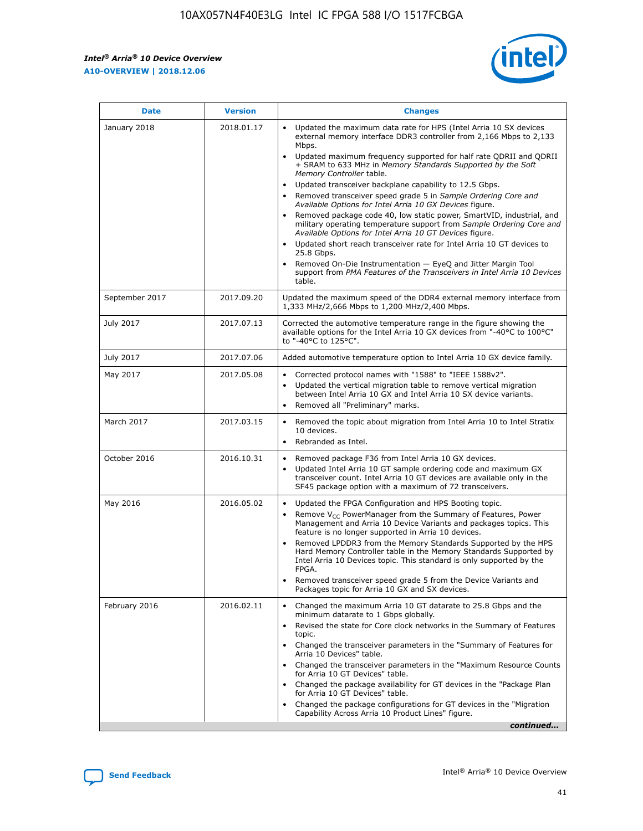

| <b>Date</b>    | <b>Version</b> | <b>Changes</b>                                                                                                                                                                                                                                                                                                                                                                                                                                                                                                                                                                                                                                                                                                                                                                                                                                                                                                                                               |
|----------------|----------------|--------------------------------------------------------------------------------------------------------------------------------------------------------------------------------------------------------------------------------------------------------------------------------------------------------------------------------------------------------------------------------------------------------------------------------------------------------------------------------------------------------------------------------------------------------------------------------------------------------------------------------------------------------------------------------------------------------------------------------------------------------------------------------------------------------------------------------------------------------------------------------------------------------------------------------------------------------------|
| January 2018   | 2018.01.17     | Updated the maximum data rate for HPS (Intel Arria 10 SX devices<br>external memory interface DDR3 controller from 2,166 Mbps to 2,133<br>Mbps.<br>Updated maximum frequency supported for half rate QDRII and QDRII<br>+ SRAM to 633 MHz in Memory Standards Supported by the Soft<br>Memory Controller table.<br>Updated transceiver backplane capability to 12.5 Gbps.<br>Removed transceiver speed grade 5 in Sample Ordering Core and<br>Available Options for Intel Arria 10 GX Devices figure.<br>Removed package code 40, low static power, SmartVID, industrial, and<br>military operating temperature support from Sample Ordering Core and<br>Available Options for Intel Arria 10 GT Devices figure.<br>Updated short reach transceiver rate for Intel Arria 10 GT devices to<br>25.8 Gbps.<br>Removed On-Die Instrumentation - EyeQ and Jitter Margin Tool<br>support from PMA Features of the Transceivers in Intel Arria 10 Devices<br>table. |
| September 2017 | 2017.09.20     | Updated the maximum speed of the DDR4 external memory interface from<br>1,333 MHz/2,666 Mbps to 1,200 MHz/2,400 Mbps.                                                                                                                                                                                                                                                                                                                                                                                                                                                                                                                                                                                                                                                                                                                                                                                                                                        |
| July 2017      | 2017.07.13     | Corrected the automotive temperature range in the figure showing the<br>available options for the Intel Arria 10 GX devices from "-40°C to 100°C"<br>to "-40°C to 125°C".                                                                                                                                                                                                                                                                                                                                                                                                                                                                                                                                                                                                                                                                                                                                                                                    |
| July 2017      | 2017.07.06     | Added automotive temperature option to Intel Arria 10 GX device family.                                                                                                                                                                                                                                                                                                                                                                                                                                                                                                                                                                                                                                                                                                                                                                                                                                                                                      |
| May 2017       | 2017.05.08     | Corrected protocol names with "1588" to "IEEE 1588v2".<br>$\bullet$<br>Updated the vertical migration table to remove vertical migration<br>$\bullet$<br>between Intel Arria 10 GX and Intel Arria 10 SX device variants.<br>Removed all "Preliminary" marks.<br>$\bullet$                                                                                                                                                                                                                                                                                                                                                                                                                                                                                                                                                                                                                                                                                   |
| March 2017     | 2017.03.15     | Removed the topic about migration from Intel Arria 10 to Intel Stratix<br>$\bullet$<br>10 devices.<br>Rebranded as Intel.<br>$\bullet$                                                                                                                                                                                                                                                                                                                                                                                                                                                                                                                                                                                                                                                                                                                                                                                                                       |
| October 2016   | 2016.10.31     | Removed package F36 from Intel Arria 10 GX devices.<br>Updated Intel Arria 10 GT sample ordering code and maximum GX<br>$\bullet$<br>transceiver count. Intel Arria 10 GT devices are available only in the<br>SF45 package option with a maximum of 72 transceivers.                                                                                                                                                                                                                                                                                                                                                                                                                                                                                                                                                                                                                                                                                        |
| May 2016       | 2016.05.02     | Updated the FPGA Configuration and HPS Booting topic.<br>$\bullet$<br>Remove V <sub>CC</sub> PowerManager from the Summary of Features, Power<br>Management and Arria 10 Device Variants and packages topics. This<br>feature is no longer supported in Arria 10 devices.<br>Removed LPDDR3 from the Memory Standards Supported by the HPS<br>Hard Memory Controller table in the Memory Standards Supported by<br>Intel Arria 10 Devices topic. This standard is only supported by the<br><b>FPGA</b><br>Removed transceiver speed grade 5 from the Device Variants and<br>Packages topic for Arria 10 GX and SX devices.                                                                                                                                                                                                                                                                                                                                   |
| February 2016  | 2016.02.11     | Changed the maximum Arria 10 GT datarate to 25.8 Gbps and the<br>$\bullet$<br>minimum datarate to 1 Gbps globally.<br>Revised the state for Core clock networks in the Summary of Features<br>$\bullet$<br>topic.<br>Changed the transceiver parameters in the "Summary of Features for<br>$\bullet$<br>Arria 10 Devices" table.<br>Changed the transceiver parameters in the "Maximum Resource Counts<br>for Arria 10 GT Devices" table.<br>Changed the package availability for GT devices in the "Package Plan<br>for Arria 10 GT Devices" table.<br>Changed the package configurations for GT devices in the "Migration"<br>Capability Across Arria 10 Product Lines" figure.<br>continued                                                                                                                                                                                                                                                               |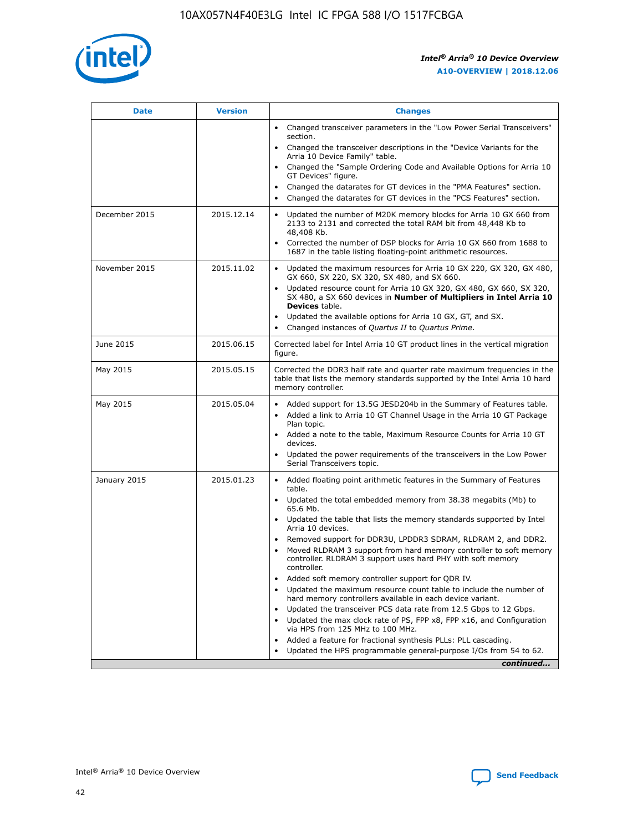

| <b>Date</b>   | <b>Version</b> | <b>Changes</b>                                                                                                                                                               |
|---------------|----------------|------------------------------------------------------------------------------------------------------------------------------------------------------------------------------|
|               |                | Changed transceiver parameters in the "Low Power Serial Transceivers"<br>$\bullet$<br>section.                                                                               |
|               |                | • Changed the transceiver descriptions in the "Device Variants for the<br>Arria 10 Device Family" table.                                                                     |
|               |                | • Changed the "Sample Ordering Code and Available Options for Arria 10<br>GT Devices" figure.                                                                                |
|               |                | Changed the datarates for GT devices in the "PMA Features" section.                                                                                                          |
|               |                | Changed the datarates for GT devices in the "PCS Features" section.<br>$\bullet$                                                                                             |
| December 2015 | 2015.12.14     | Updated the number of M20K memory blocks for Arria 10 GX 660 from<br>2133 to 2131 and corrected the total RAM bit from 48,448 Kb to<br>48,408 Kb.                            |
|               |                | Corrected the number of DSP blocks for Arria 10 GX 660 from 1688 to<br>$\bullet$<br>1687 in the table listing floating-point arithmetic resources.                           |
| November 2015 | 2015.11.02     | Updated the maximum resources for Arria 10 GX 220, GX 320, GX 480,<br>GX 660, SX 220, SX 320, SX 480, and SX 660.                                                            |
|               |                | Updated resource count for Arria 10 GX 320, GX 480, GX 660, SX 320,<br>SX 480, a SX 660 devices in Number of Multipliers in Intel Arria 10<br><b>Devices</b> table.          |
|               |                | Updated the available options for Arria 10 GX, GT, and SX.<br>$\bullet$                                                                                                      |
|               |                | Changed instances of Quartus II to Quartus Prime.<br>$\bullet$                                                                                                               |
| June 2015     | 2015.06.15     | Corrected label for Intel Arria 10 GT product lines in the vertical migration<br>figure.                                                                                     |
| May 2015      | 2015.05.15     | Corrected the DDR3 half rate and quarter rate maximum frequencies in the<br>table that lists the memory standards supported by the Intel Arria 10 hard<br>memory controller. |
| May 2015      | 2015.05.04     | • Added support for 13.5G JESD204b in the Summary of Features table.                                                                                                         |
|               |                | Added a link to Arria 10 GT Channel Usage in the Arria 10 GT Package<br>$\bullet$<br>Plan topic.                                                                             |
|               |                | • Added a note to the table, Maximum Resource Counts for Arria 10 GT<br>devices.                                                                                             |
|               |                | • Updated the power requirements of the transceivers in the Low Power<br>Serial Transceivers topic.                                                                          |
| January 2015  | 2015.01.23     | • Added floating point arithmetic features in the Summary of Features<br>table.                                                                                              |
|               |                | • Updated the total embedded memory from 38.38 megabits (Mb) to<br>65.6 Mb.                                                                                                  |
|               |                | • Updated the table that lists the memory standards supported by Intel<br>Arria 10 devices.                                                                                  |
|               |                | Removed support for DDR3U, LPDDR3 SDRAM, RLDRAM 2, and DDR2.                                                                                                                 |
|               |                | Moved RLDRAM 3 support from hard memory controller to soft memory<br>controller. RLDRAM 3 support uses hard PHY with soft memory<br>controller.                              |
|               |                | Added soft memory controller support for QDR IV.                                                                                                                             |
|               |                | Updated the maximum resource count table to include the number of<br>hard memory controllers available in each device variant.                                               |
|               |                | Updated the transceiver PCS data rate from 12.5 Gbps to 12 Gbps.                                                                                                             |
|               |                | Updated the max clock rate of PS, FPP x8, FPP x16, and Configuration<br>via HPS from 125 MHz to 100 MHz.                                                                     |
|               |                | Added a feature for fractional synthesis PLLs: PLL cascading.                                                                                                                |
|               |                | Updated the HPS programmable general-purpose I/Os from 54 to 62.<br>$\bullet$                                                                                                |
|               |                | continued                                                                                                                                                                    |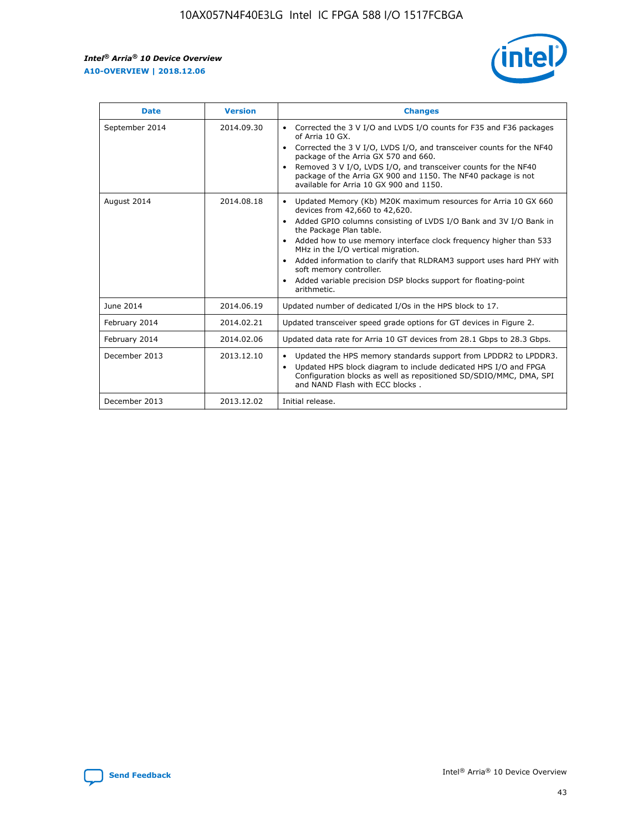r



| <b>Date</b>    | <b>Version</b> | <b>Changes</b>                                                                                                                                                                                                                                                                                                                                                                                                                                                                                                                                      |
|----------------|----------------|-----------------------------------------------------------------------------------------------------------------------------------------------------------------------------------------------------------------------------------------------------------------------------------------------------------------------------------------------------------------------------------------------------------------------------------------------------------------------------------------------------------------------------------------------------|
| September 2014 | 2014.09.30     | Corrected the 3 V I/O and LVDS I/O counts for F35 and F36 packages<br>$\bullet$<br>of Arria 10 GX.<br>Corrected the 3 V I/O, LVDS I/O, and transceiver counts for the NF40<br>$\bullet$<br>package of the Arria GX 570 and 660.<br>Removed 3 V I/O, LVDS I/O, and transceiver counts for the NF40<br>$\bullet$<br>package of the Arria GX 900 and 1150. The NF40 package is not<br>available for Arria 10 GX 900 and 1150.                                                                                                                          |
| August 2014    | 2014.08.18     | Updated Memory (Kb) M20K maximum resources for Arria 10 GX 660<br>devices from 42,660 to 42,620.<br>Added GPIO columns consisting of LVDS I/O Bank and 3V I/O Bank in<br>$\bullet$<br>the Package Plan table.<br>Added how to use memory interface clock frequency higher than 533<br>$\bullet$<br>MHz in the I/O vertical migration.<br>Added information to clarify that RLDRAM3 support uses hard PHY with<br>$\bullet$<br>soft memory controller.<br>Added variable precision DSP blocks support for floating-point<br>$\bullet$<br>arithmetic. |
| June 2014      | 2014.06.19     | Updated number of dedicated I/Os in the HPS block to 17.                                                                                                                                                                                                                                                                                                                                                                                                                                                                                            |
| February 2014  | 2014.02.21     | Updated transceiver speed grade options for GT devices in Figure 2.                                                                                                                                                                                                                                                                                                                                                                                                                                                                                 |
| February 2014  | 2014.02.06     | Updated data rate for Arria 10 GT devices from 28.1 Gbps to 28.3 Gbps.                                                                                                                                                                                                                                                                                                                                                                                                                                                                              |
| December 2013  | 2013.12.10     | Updated the HPS memory standards support from LPDDR2 to LPDDR3.<br>Updated HPS block diagram to include dedicated HPS I/O and FPGA<br>$\bullet$<br>Configuration blocks as well as repositioned SD/SDIO/MMC, DMA, SPI<br>and NAND Flash with ECC blocks.                                                                                                                                                                                                                                                                                            |
| December 2013  | 2013.12.02     | Initial release.                                                                                                                                                                                                                                                                                                                                                                                                                                                                                                                                    |